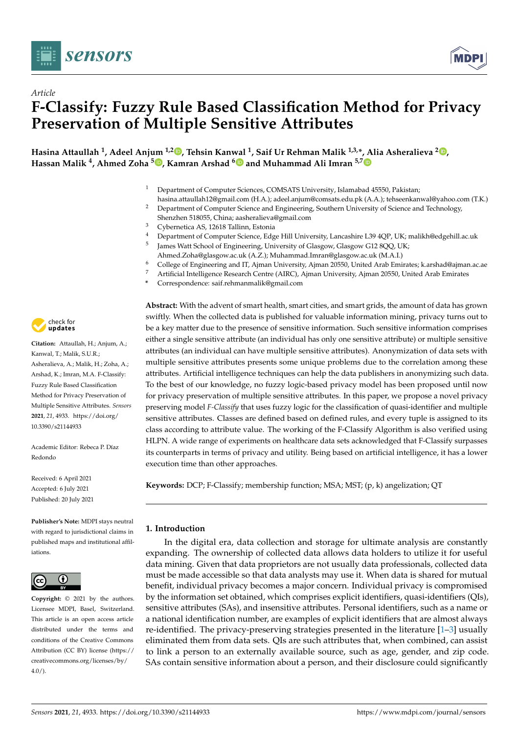

*Article*



# **F-Classify: Fuzzy Rule Based Classification Method for Privacy Preservation of Multiple Sensitive Attributes**

**Hasina Attaullah <sup>1</sup> , Adeel Anjum 1,2 [,](https://orcid.org/0000-0001-5083-0019) Tehsin Kanwal <sup>1</sup> , Saif Ur Rehman Malik 1,3,\*, Alia Asheralieva <sup>2</sup> [,](https://orcid.org/0000-0002-4430-5928) Hassan Malik <sup>4</sup> , Ahmed Zoha [5](https://orcid.org/0000-0001-7497-9336) , Kamran Arshad [6](https://orcid.org/0000-0002-4447-8335) and Muhammad Ali Imran 5,[7](https://orcid.org/0000-0003-4743-9136)**

- <sup>1</sup> Department of Computer Sciences, COMSATS University, Islamabad 45550, Pakistan;
- hasina.attaullah12@gmail.com (H.A.); adeel.anjum@comsats.edu.pk (A.A.); tehseenkanwal@yahoo.com (T.K.) <sup>2</sup> Department of Computer Science and Engineering, Southern University of Science and Technology,
- Shenzhen 518055, China; aasheralieva@gmail.com
- <sup>3</sup> Cybernetica AS, 12618 Tallinn, Estonia
- <sup>4</sup> Department of Computer Science, Edge Hill University, Lancashire L39 4QP, UK; malikh@edgehill.ac.uk 5 James Watt School of Engineering, University of Glasgow, Glasgow G12 8QQ, UK;
- Ahmed.Zoha@glasgow.ac.uk (A.Z.); Muhammad.Imran@glasgow.ac.uk (M.A.I.)
- <sup>6</sup> College of Engineering and IT, Ajman University, Ajman 20550, United Arab Emirates; k.arshad@ajman.ac.ae
- <sup>7</sup> Artificial Intelligence Research Centre (AIRC), Ajman University, Ajman 20550, United Arab Emirates
- **\*** Correspondence: saif.rehmanmalik@gmail.com

check for **-**

**Citation:** Attaullah, H.; Anjum, A.; Kanwal, T.; Malik, S.U.R.; Asheralieva, A.; Malik, H.; Zoha, A.; Arshad, K.; Imran, M.A. F-Classify: Fuzzy Rule Based Classification Method for Privacy Preservation of Multiple Sensitive Attributes. *Sensors* **2021**, *21*, 4933. [https://doi.org/](https://doi.org/10.3390/s21144933) [10.3390/s21144933](https://doi.org/10.3390/s21144933)

Academic Editor: Rebeca P. Díaz Redondo

Received: 6 April 2021 Accepted: 6 July 2021 Published: 20 July 2021

**Publisher's Note:** MDPI stays neutral with regard to jurisdictional claims in published maps and institutional affiliations.



**Copyright:** © 2021 by the authors. Licensee MDPI, Basel, Switzerland. This article is an open access article distributed under the terms and conditions of the Creative Commons Attribution (CC BY) license (https:/[/](https://creativecommons.org/licenses/by/4.0/) [creativecommons.org/licenses/by/](https://creativecommons.org/licenses/by/4.0/)  $4.0/$ ).

**Abstract:** With the advent of smart health, smart cities, and smart grids, the amount of data has grown swiftly. When the collected data is published for valuable information mining, privacy turns out to be a key matter due to the presence of sensitive information. Such sensitive information comprises either a single sensitive attribute (an individual has only one sensitive attribute) or multiple sensitive attributes (an individual can have multiple sensitive attributes). Anonymization of data sets with multiple sensitive attributes presents some unique problems due to the correlation among these attributes. Artificial intelligence techniques can help the data publishers in anonymizing such data. To the best of our knowledge, no fuzzy logic-based privacy model has been proposed until now for privacy preservation of multiple sensitive attributes. In this paper, we propose a novel privacy preserving model *F-Classify* that uses fuzzy logic for the classification of quasi-identifier and multiple sensitive attributes. Classes are defined based on defined rules, and every tuple is assigned to its class according to attribute value. The working of the F-Classify Algorithm is also verified using HLPN. A wide range of experiments on healthcare data sets acknowledged that F-Classify surpasses its counterparts in terms of privacy and utility. Being based on artificial intelligence, it has a lower execution time than other approaches.

**Keywords:** DCP; F-Classify; membership function; MSA; MST; (p, k) angelization; QT

# **1. Introduction**

In the digital era, data collection and storage for ultimate analysis are constantly expanding. The ownership of collected data allows data holders to utilize it for useful data mining. Given that data proprietors are not usually data professionals, collected data must be made accessible so that data analysts may use it. When data is shared for mutual benefit, individual privacy becomes a major concern. Individual privacy is compromised by the information set obtained, which comprises explicit identifiers, quasi-identifiers (QIs), sensitive attributes (SAs), and insensitive attributes. Personal identifiers, such as a name or a national identification number, are examples of explicit identifiers that are almost always re-identified. The privacy-preserving strategies presented in the literature [\[1](#page-20-0)[–3\]](#page-20-1) usually eliminated them from data sets. QIs are such attributes that, when combined, can assist to link a person to an externally available source, such as age, gender, and zip code. SAs contain sensitive information about a person, and their disclosure could significantly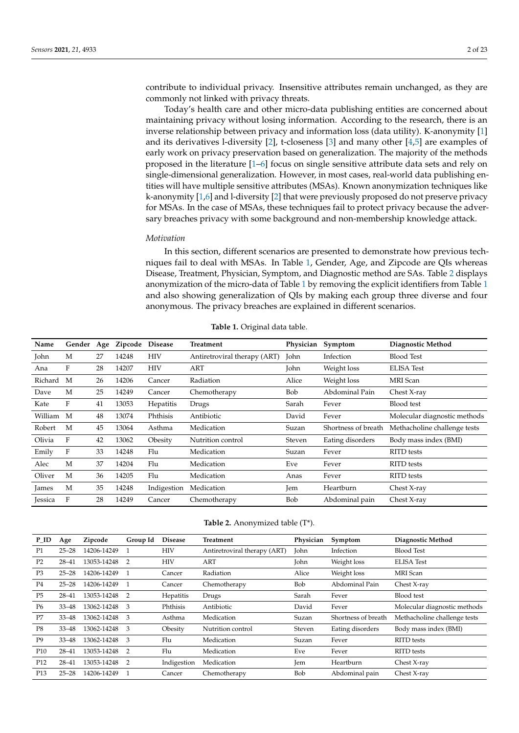contribute to individual privacy. Insensitive attributes remain unchanged, as they are commonly not linked with privacy threats.

Today's health care and other micro-data publishing entities are concerned about maintaining privacy without losing information. According to the research, there is an inverse relationship between privacy and information loss (data utility). K-anonymity [\[1\]](#page-20-0) and its derivatives l-diversity  $[2]$ , t-closeness  $[3]$  and many other  $[4,5]$  $[4,5]$  are examples of early work on privacy preservation based on generalization. The majority of the methods proposed in the literature [\[1](#page-20-0)[–6\]](#page-20-5) focus on single sensitive attribute data sets and rely on single-dimensional generalization. However, in most cases, real-world data publishing entities will have multiple sensitive attributes (MSAs). Known anonymization techniques like k-anonymity [\[1](#page-20-0)[,6\]](#page-20-5) and l-diversity [\[2\]](#page-20-2) that were previously proposed do not preserve privacy for MSAs. In the case of MSAs, these techniques fail to protect privacy because the adversary breaches privacy with some background and non-membership knowledge attack.

#### *Motivation*

In this section, different scenarios are presented to demonstrate how previous techniques fail to deal with MSAs. In Table [1,](#page-1-0) Gender, Age, and Zipcode are QIs whereas Disease, Treatment, Physician, Symptom, and Diagnostic method are SAs. Table [2](#page-1-1) displays anonymization of the micro-data of Table [1](#page-1-0) by removing the explicit identifiers from Table [1](#page-1-0) and also showing generalization of QIs by making each group three diverse and four anonymous. The privacy breaches are explained in different scenarios.

<span id="page-1-0"></span>

| Name           | Gender       | Age | Zipcode | <b>Disease</b> | <b>Treatment</b>             | Physician | Symptom             | Diagnostic Method            |
|----------------|--------------|-----|---------|----------------|------------------------------|-----------|---------------------|------------------------------|
| John           | М            | 27  | 14248   | <b>HIV</b>     | Antiretroviral therapy (ART) | John      | Infection           | <b>Blood Test</b>            |
| Ana            | F            | 28  | 14207   | <b>HIV</b>     | ART                          | John      | Weight loss         | <b>ELISA Test</b>            |
| Richard        | M            | 26  | 14206   | Cancer         | Radiation                    | Alice     | Weight loss         | <b>MRI</b> Scan              |
| Dave           | M            | 25  | 14249   | Cancer         | Chemotherapy                 | Bob       | Abdominal Pain      | Chest X-ray                  |
| Kate           | $\mathbf{F}$ | 41  | 13053   | Hepatitis      | Drugs                        | Sarah     | Fever               | Blood test                   |
| William        | M            | 48  | 13074   | Phthisis       | Antibiotic                   | David     | Fever               | Molecular diagnostic methods |
| Robert         | M            | 45  | 13064   | Asthma         | Medication                   | Suzan     | Shortness of breath | Methacholine challenge tests |
| Olivia         | F            | 42  | 13062   | Obesity        | Nutrition control            | Steven    | Eating disorders    | Body mass index (BMI)        |
| Emily          | F            | 33  | 14248   | Flu            | Medication                   | Suzan     | Fever               | <b>RITD</b> tests            |
| Alec           | M            | 37  | 14204   | Flu            | Medication                   | Eve       | Fever               | <b>RITD</b> tests            |
| Oliver         | M            | 36  | 14205   | Flu            | Medication                   | Anas      | Fever               | RITD tests                   |
| James          | М            | 35  | 14248   | Indigestion    | Medication                   | Jem       | Heartburn           | Chest X-ray                  |
| <b>Jessica</b> | F            | 28  | 14249   | Cancer         | Chemotherapy                 | Bob       | Abdominal pain      | Chest X-ray                  |

**Table 1.** Original data table.

**Table 2.** Anonymized table (T\*).

<span id="page-1-1"></span>

| $P_{ID}$        | Age       | Zipcode     | Group Id       | <b>Disease</b> | Treatment                    | Physician  | Symptom             | Diagnostic Method            |
|-----------------|-----------|-------------|----------------|----------------|------------------------------|------------|---------------------|------------------------------|
| P1              | $25 - 28$ | 14206-14249 |                | <b>HIV</b>     | Antiretroviral therapy (ART) | John       | Infection           | Blood Test                   |
| P <sub>2</sub>  | $28 - 41$ | 13053-14248 | $\overline{2}$ | <b>HIV</b>     | ART                          | John       | Weight loss         | <b>ELISA</b> Test            |
| P <sub>3</sub>  | $25 - 28$ | 14206-14249 |                | Cancer         | Radiation                    | Alice      | Weight loss         | MRI Scan                     |
| P4              | $25 - 28$ | 14206-14249 |                | Cancer         | Chemotherapy                 | Bob        | Abdominal Pain      | Chest X-ray                  |
| P <sub>5</sub>  | $28 - 41$ | 13053-14248 | $\overline{2}$ | Hepatitis      | Drugs                        | Sarah      | Fever               | Blood test                   |
| P <sub>6</sub>  | $33 - 48$ | 13062-14248 | - 3            | Phthisis       | Antibiotic                   | David      | Fever               | Molecular diagnostic methods |
| P7              | $33 - 48$ | 13062-14248 | -3             | Asthma         | Medication                   | Suzan      | Shortness of breath | Methacholine challenge tests |
| P8              | $33 - 48$ | 13062-14248 | - 3            | Obesity        | Nutrition control            | Steven     | Eating disorders    | Body mass index (BMI)        |
| P <sub>9</sub>  | $33 - 48$ | 13062-14248 | -3             | Flu            | Medication                   | Suzan      | Fever               | <b>RITD</b> tests            |
| P <sub>10</sub> | $28 - 41$ | 13053-14248 | -2             | Flu            | Medication                   | Eve        | Fever               | <b>RITD</b> tests            |
| P <sub>12</sub> | $28 - 41$ | 13053-14248 | $\overline{2}$ | Indigestion    | Medication                   | <b>Jem</b> | Heartburn           | Chest X-ray                  |
| P <sub>13</sub> | $25 - 28$ | 14206-14249 |                | Cancer         | Chemotherapy                 | Bob        | Abdominal pain      | Chest X-ray                  |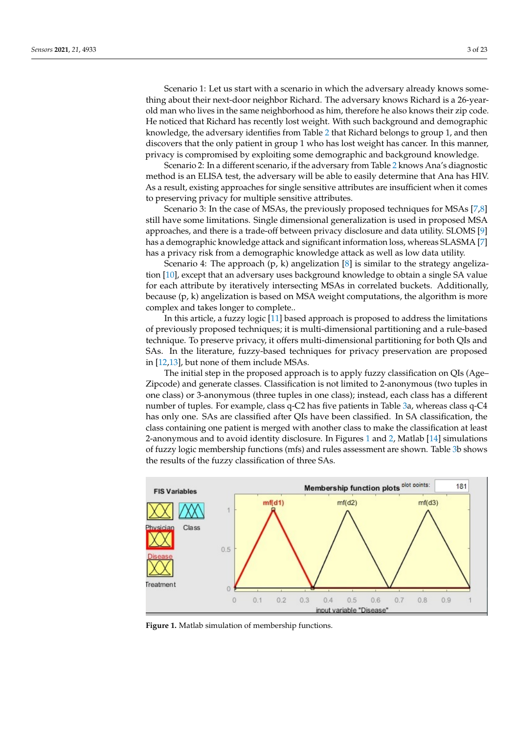Scenario 1: Let us start with a scenario in which the adversary already knows something about their next-door neighbor Richard. The adversary knows Richard is a 26-yearold man who lives in the same neighborhood as him, therefore he also knows their zip code. He noticed that Richard has recently lost weight. With such background and demographic knowledge, the adversary identifies from Table [2](#page-1-1) that Richard belongs to group 1, and then discovers that the only patient in group 1 who has lost weight has cancer. In this manner, privacy is compromised by exploiting some demographic and background knowledge.

Scenario 2: In a different scenario, if the adversary from Table [2](#page-1-1) knows Ana's diagnostic method is an ELISA test, the adversary will be able to easily determine that Ana has HIV. As a result, existing approaches for single sensitive attributes are insufficient when it comes to preserving privacy for multiple sensitive attributes.

Scenario 3: In the case of MSAs, the previously proposed techniques for MSAs [\[7](#page-20-6)[,8\]](#page-20-7) still have some limitations. Single dimensional generalization is used in proposed MSA approaches, and there is a trade-off between privacy disclosure and data utility. SLOMS [\[9\]](#page-20-8) has a demographic knowledge attack and significant information loss, whereas SLASMA [\[7\]](#page-20-6) has a privacy risk from a demographic knowledge attack as well as low data utility.

Scenario 4: The approach  $(p, k)$  angelization  $[8]$  is similar to the strategy angelization [\[10\]](#page-20-9), except that an adversary uses background knowledge to obtain a single SA value for each attribute by iteratively intersecting MSAs in correlated buckets. Additionally, because (p, k) angelization is based on MSA weight computations, the algorithm is more complex and takes longer to complete..

In this article, a fuzzy logic [\[11\]](#page-20-10) based approach is proposed to address the limitations of previously proposed techniques; it is multi-dimensional partitioning and a rule-based technique. To preserve privacy, it offers multi-dimensional partitioning for both QIs and SAs. In the literature, fuzzy-based techniques for privacy preservation are proposed in [\[12](#page-20-11)[,13\]](#page-20-12), but none of them include MSAs.

The initial step in the proposed approach is to apply fuzzy classification on QIs (Age– Zipcode) and generate classes. Classification is not limited to 2-anonymous (two tuples in one class) or 3-anonymous (three tuples in one class); instead, each class has a different number of tuples. For example, class q-C2 has five patients in Table [3a](#page-4-0), whereas class q-C4 has only one. SAs are classified after QIs have been classified. In SA classification, the class containing one patient is merged with another class to make the classification at least 2-anonymous and to avoid identity disclosure. In Figures [1](#page-2-0) and [2,](#page-3-0) Matlab [\[14\]](#page-20-13) simulations of fuzzy logic membership functions (mfs) and rules assessment are shown. Table [3b](#page-4-0) shows the results of the fuzzy classification of three SAs.

<span id="page-2-0"></span>

**Figure 1.** Matlab simulation of membership functions.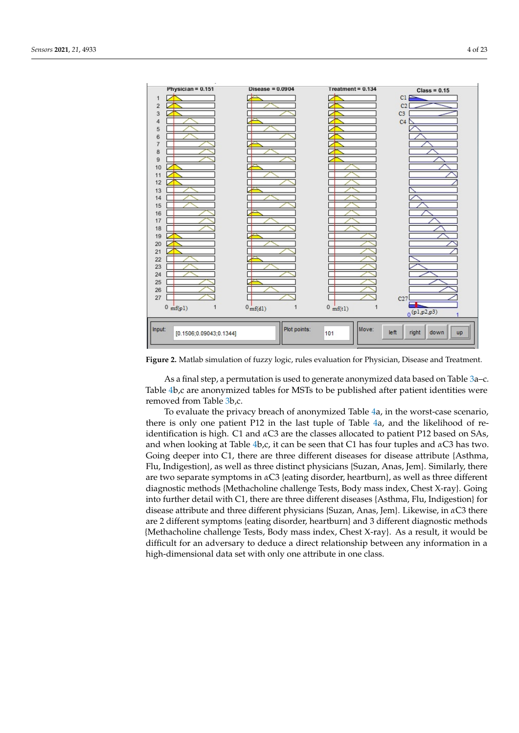<span id="page-3-0"></span>

**Figure 2.** Matlab simulation of fuzzy logic, rules evaluation for Physician, Disease and Treatment.

As a final step, a permutation is used to generate anonymized data based on Table [3a](#page-4-0)–c. Table [4b](#page-5-0),c are anonymized tables for MSTs to be published after patient identities were removed from Table [3b](#page-4-0),c.

To evaluate the privacy breach of anonymized Table [4a](#page-5-0), in the worst-case scenario, there is only one patient P12 in the last tuple of Table [4a](#page-5-0), and the likelihood of reidentification is high. C1 and *α*C3 are the classes allocated to patient P12 based on SAs, and when looking at Table [4b](#page-5-0),c, it can be seen that C1 has four tuples and *α*C3 has two. Going deeper into C1, there are three different diseases for disease attribute {Asthma, Flu, Indigestion}, as well as three distinct physicians {Suzan, Anas, Jem}. Similarly, there are two separate symptoms in *α*C3 {eating disorder, heartburn}, as well as three different diagnostic methods {Methacholine challenge Tests, Body mass index, Chest X-ray}. Going into further detail with C1, there are three different diseases {Asthma, Flu, Indigestion} for disease attribute and three different physicians {Suzan, Anas, Jem}. Likewise, in *α*C3 there are 2 different symptoms {eating disorder, heartburn} and 3 different diagnostic methods {Methacholine challenge Tests, Body mass index, Chest X-ray}. As a result, it would be difficult for an adversary to deduce a direct relationship between any information in a high-dimensional data set with only one attribute in one class.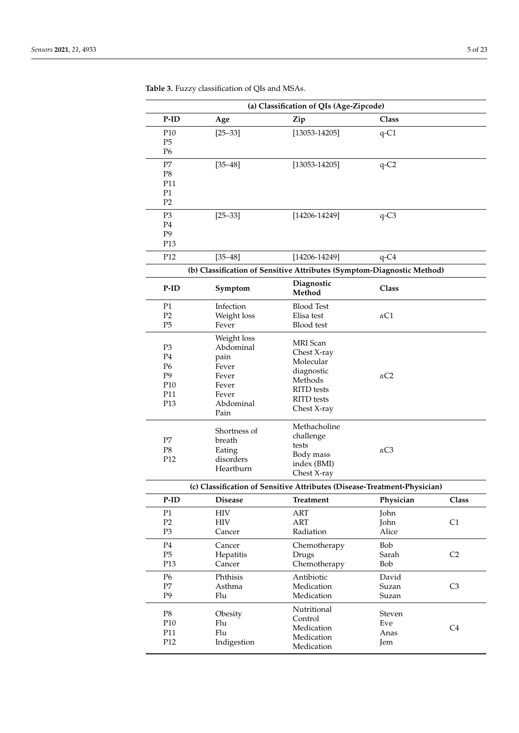|                                   |                     | (a) Classification of QIs (Age-Zipcode)                                  |                         |                |
|-----------------------------------|---------------------|--------------------------------------------------------------------------|-------------------------|----------------|
| P-ID                              | Age                 | Zip                                                                      | Class                   |                |
| P10                               | $[25 - 33]$         | $[13053 - 14205]$                                                        | $q$ -C1                 |                |
| P <sub>5</sub>                    |                     |                                                                          |                         |                |
| P <sub>6</sub>                    |                     |                                                                          |                         |                |
| P7                                | $[35 - 48]$         | $[13053 - 14205]$                                                        | $q$ -C2                 |                |
| P8                                |                     |                                                                          |                         |                |
| P11                               |                     |                                                                          |                         |                |
| P <sub>1</sub><br>P <sub>2</sub>  |                     |                                                                          |                         |                |
|                                   |                     |                                                                          |                         |                |
| P <sub>3</sub>                    | $[25 - 33]$         | $[14206 - 14249]$                                                        | $q-C3$                  |                |
| P <sub>4</sub><br>P <sub>9</sub>  |                     |                                                                          |                         |                |
| P <sub>13</sub>                   |                     |                                                                          |                         |                |
|                                   |                     |                                                                          |                         |                |
| P12                               | $[35 - 48]$         | $[14206 - 14249]$                                                        | $q$ -C4                 |                |
|                                   |                     | (b) Classification of Sensitive Attributes (Symptom-Diagnostic Method)   |                         |                |
| P-ID                              | Symptom             | Diagnostic<br>Method                                                     | Class                   |                |
| P <sub>1</sub>                    | Infection           | <b>Blood Test</b>                                                        |                         |                |
| P <sub>2</sub>                    | Weight loss         | Elisa test                                                               | $\alpha$ C1             |                |
| P <sub>5</sub>                    | Fever               | <b>Blood</b> test                                                        |                         |                |
|                                   | Weight loss         | <b>MRI</b> Scan                                                          |                         |                |
| P <sub>3</sub>                    | Abdominal           | Chest X-ray                                                              |                         |                |
| P <sub>4</sub>                    | pain                | Molecular                                                                |                         |                |
| P <sub>6</sub>                    | Fever               | diagnostic                                                               |                         |                |
| P <sub>9</sub><br>P <sub>10</sub> | Fever<br>Fever      | Methods                                                                  | $\alpha$ C <sub>2</sub> |                |
| P11                               | Fever               | <b>RITD</b> tests                                                        |                         |                |
| P13                               | Abdominal           | <b>RITD</b> tests                                                        |                         |                |
|                                   | Pain                | Chest X-ray                                                              |                         |                |
|                                   |                     | Methacholine                                                             |                         |                |
|                                   | Shortness of        | challenge                                                                |                         |                |
| P7                                | breath              | tests                                                                    |                         |                |
| P <sub>8</sub><br>P12             | Eating<br>disorders | Body mass                                                                | $\alpha$ C <sub>3</sub> |                |
|                                   | Heartburn           | index (BMI)                                                              |                         |                |
|                                   |                     | Chest X-ray                                                              |                         |                |
|                                   |                     | (c) Classification of Sensitive Attributes (Disease-Treatment-Physician) |                         |                |
| P-ID                              | <b>Disease</b>      | <b>Treatment</b>                                                         | Physician               | Class          |
| P <sub>1</sub>                    | <b>HIV</b>          | ART                                                                      | John                    |                |
| P2                                | HIV                 | ART                                                                      | John                    | C1             |
| P <sub>3</sub>                    | Cancer              | Radiation                                                                | Alice                   |                |
| P4                                | Cancer              | Chemotherapy                                                             | Bob                     |                |
| P5                                | Hepatitis           | Drugs                                                                    | Sarah                   | C2             |
| P13                               | Cancer              | Chemotherapy                                                             | Bob                     |                |
| P <sub>6</sub>                    | Phthisis            | Antibiotic                                                               | David                   |                |
| P7                                | Asthma              | Medication                                                               | Suzan                   | C <sub>3</sub> |
| P <sub>9</sub>                    | Flu                 | Medication                                                               | Suzan                   |                |
| $\mathbf{P8}$                     | Obesity             | Nutritional                                                              | Steven                  |                |
| P10                               | Flu                 | Control                                                                  | Eve                     |                |
| P11                               | Flu                 | Medication                                                               | Anas                    | C <sub>4</sub> |
| P12                               | Indigestion         | Medication                                                               | Jem                     |                |
|                                   |                     | Medication                                                               |                         |                |

<span id="page-4-0"></span>**Table 3.** Fuzzy classification of QIs and MSAs.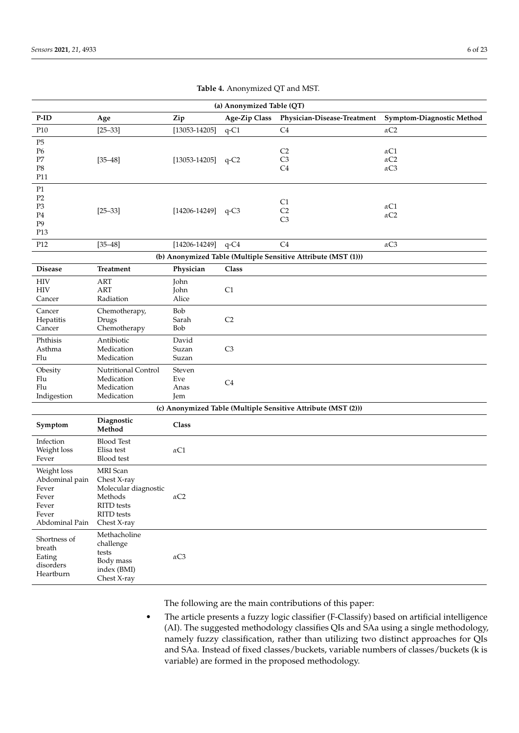<span id="page-5-0"></span>

| (a) Anonymized Table (QT)                                                           |                                                                                                              |                              |                      |                                                               |                                           |
|-------------------------------------------------------------------------------------|--------------------------------------------------------------------------------------------------------------|------------------------------|----------------------|---------------------------------------------------------------|-------------------------------------------|
| P-ID                                                                                | Age                                                                                                          | Zip                          | <b>Age-Zip Class</b> | Physician-Disease-Treatment                                   | Symptom-Diagnostic Method                 |
| P10                                                                                 | $[25 - 33]$                                                                                                  | $[13053 - 14205]$            | $q-C1$               | C4                                                            | $\alpha C2$                               |
| P5<br>P <sub>6</sub><br>P7<br>$\mathbf{P8}$<br>P11                                  | $[35 - 48]$                                                                                                  | $[13053 - 14205]$            | $q$ -C <sub>2</sub>  | C <sub>2</sub><br>C <sub>3</sub><br>C <sub>4</sub>            | $\alpha C1$<br>$\alpha C2$<br>$\alpha$ C3 |
| $\mathbf{P}1$<br>P <sub>2</sub><br>P <sub>3</sub><br>P4<br>P <sub>9</sub><br>P13    | $[25 - 33]$                                                                                                  | $[14206 - 14249]$            | $q$ -C3              | C1<br>C <sub>2</sub><br>C <sub>3</sub>                        | $\alpha$ C1<br>$\alpha C2$                |
| P12                                                                                 | $[35 - 48]$                                                                                                  | $[14206 - 14249]$            | $q-C4$               | C4                                                            | $\alpha$ C3                               |
|                                                                                     |                                                                                                              |                              |                      | (b) Anonymized Table (Multiple Sensitive Attribute (MST (1))) |                                           |
| <b>Disease</b>                                                                      | <b>Treatment</b>                                                                                             | Physician                    | Class                |                                                               |                                           |
| <b>HIV</b><br><b>HIV</b><br>Cancer                                                  | ART<br><b>ART</b><br>Radiation                                                                               | John<br>John<br>Alice        | C1                   |                                                               |                                           |
| Cancer<br>Hepatitis<br>Cancer                                                       | Chemotherapy,<br>Drugs<br>Chemotherapy                                                                       | Bob<br>Sarah<br>Bob          | C <sub>2</sub>       |                                                               |                                           |
| Phthisis<br>Asthma<br>Flu                                                           | Antibiotic<br>Medication<br>Medication                                                                       | David<br>Suzan<br>Suzan      | C <sub>3</sub>       |                                                               |                                           |
| Obesity<br>Flu<br>Flu<br>Indigestion                                                | Nutritional Control<br>Medication<br>Medication<br>Medication                                                | Steven<br>Eve<br>Anas<br>Jem | C <sub>4</sub>       |                                                               |                                           |
|                                                                                     |                                                                                                              |                              |                      | (c) Anonymized Table (Multiple Sensitive Attribute (MST (2))) |                                           |
| Symptom                                                                             | Diagnostic<br>Method                                                                                         | Class                        |                      |                                                               |                                           |
| Infection<br>Weight loss<br>Fever                                                   | <b>Blood Test</b><br>Elisa test<br><b>Blood</b> test                                                         | $\alpha$ C1                  |                      |                                                               |                                           |
| Weight loss<br>Abdominal pain<br>Fever<br>Fever<br>Fever<br>Fever<br>Abdominal Pain | MRI Scan<br>Chest X-ray<br>Molecular diagnostic<br>Methods<br><b>RITD</b> tests<br>RITD tests<br>Chest X-ray | $\alpha C2$                  |                      |                                                               |                                           |
| Shortness of<br>breath<br>Eating<br>disorders<br>Heartburn                          | Methacholine<br>challenge<br>tests<br>Body mass<br>index (BMI)<br>Chest X-ray                                | $\alpha$ C3                  |                      |                                                               |                                           |

**Table 4.** Anonymized QT and MST.

The following are the main contributions of this paper:

• The article presents a fuzzy logic classifier (F-Classify) based on artificial intelligence (AI). The suggested methodology classifies QIs and SAa using a single methodology, namely fuzzy classification, rather than utilizing two distinct approaches for QIs and SAa. Instead of fixed classes/buckets, variable numbers of classes/buckets (k is variable) are formed in the proposed methodology.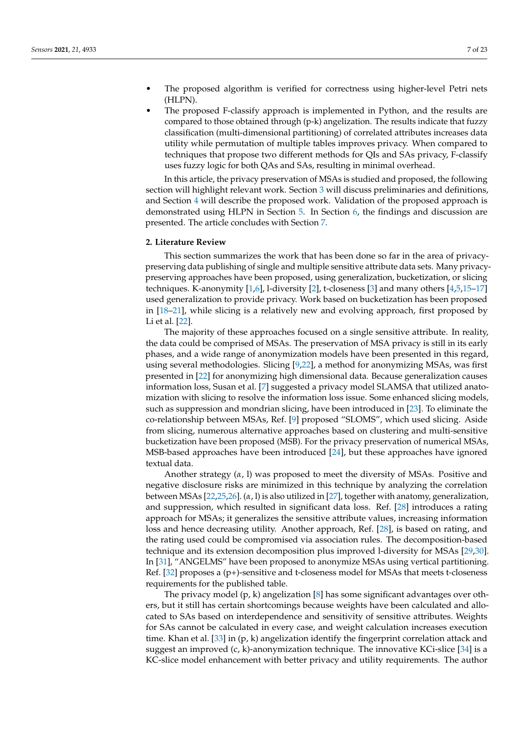- The proposed algorithm is verified for correctness using higher-level Petri nets (HLPN).
- The proposed F-classify approach is implemented in Python, and the results are compared to those obtained through (p-k) angelization. The results indicate that fuzzy classification (multi-dimensional partitioning) of correlated attributes increases data utility while permutation of multiple tables improves privacy. When compared to techniques that propose two different methods for QIs and SAs privacy, F-classify uses fuzzy logic for both QAs and SAs, resulting in minimal overhead.

In this article, the privacy preservation of MSAs is studied and proposed, the following section will highlight relevant work. Section [3](#page-8-0) will discuss preliminaries and definitions, and Section [4](#page-10-0) will describe the proposed work. Validation of the proposed approach is demonstrated using HLPN in Section [5.](#page-12-0) In Section [6,](#page-16-0) the findings and discussion are presented. The article concludes with Section [7.](#page-19-0)

# <span id="page-6-0"></span>**2. Literature Review**

This section summarizes the work that has been done so far in the area of privacypreserving data publishing of single and multiple sensitive attribute data sets. Many privacypreserving approaches have been proposed, using generalization, bucketization, or slicing techniques. K-anonymity [\[1](#page-20-0)[,6\]](#page-20-5), l-diversity [\[2\]](#page-20-2), t-closeness [\[3\]](#page-20-1) and many others [\[4,](#page-20-3)[5](#page-20-4)[,15–](#page-21-0)[17\]](#page-21-1) used generalization to provide privacy. Work based on bucketization has been proposed in [\[18](#page-21-2)[–21\]](#page-21-3), while slicing is a relatively new and evolving approach, first proposed by Li et al. [\[22\]](#page-21-4).

The majority of these approaches focused on a single sensitive attribute. In reality, the data could be comprised of MSAs. The preservation of MSA privacy is still in its early phases, and a wide range of anonymization models have been presented in this regard, using several methodologies. Slicing [\[9](#page-20-8)[,22\]](#page-21-4), a method for anonymizing MSAs, was first presented in [\[22\]](#page-21-4) for anonymizing high dimensional data. Because generalization causes information loss, Susan et al. [\[7\]](#page-20-6) suggested a privacy model SLAMSA that utilized anatomization with slicing to resolve the information loss issue. Some enhanced slicing models, such as suppression and mondrian slicing, have been introduced in [\[23\]](#page-21-5). To eliminate the co-relationship between MSAs, Ref. [\[9\]](#page-20-8) proposed "SLOMS", which used slicing. Aside from slicing, numerous alternative approaches based on clustering and multi-sensitive bucketization have been proposed (MSB). For the privacy preservation of numerical MSAs, MSB-based approaches have been introduced [\[24\]](#page-21-6), but these approaches have ignored textual data.

Another strategy (*α*, l) was proposed to meet the diversity of MSAs. Positive and negative disclosure risks are minimized in this technique by analyzing the correlation between MSAs [\[22](#page-21-4)[,25](#page-21-7)[,26\]](#page-21-8). (*α*, l) is also utilized in [\[27\]](#page-21-9), together with anatomy, generalization, and suppression, which resulted in significant data loss. Ref. [\[28\]](#page-21-10) introduces a rating approach for MSAs; it generalizes the sensitive attribute values, increasing information loss and hence decreasing utility. Another approach, Ref. [\[28\]](#page-21-10), is based on rating, and the rating used could be compromised via association rules. The decomposition-based technique and its extension decomposition plus improved l-diversity for MSAs [\[29,](#page-21-11)[30\]](#page-21-12). In [\[31\]](#page-21-13), "ANGELMS" have been proposed to anonymize MSAs using vertical partitioning. Ref.  $[32]$  proposes a  $(p+)$ -sensitive and t-closeness model for MSAs that meets t-closeness requirements for the published table.

The privacy model  $(p, k)$  angelization [\[8\]](#page-20-7) has some significant advantages over others, but it still has certain shortcomings because weights have been calculated and allocated to SAs based on interdependence and sensitivity of sensitive attributes. Weights for SAs cannot be calculated in every case, and weight calculation increases execution time. Khan et al. [\[33\]](#page-21-15) in (p, k) angelization identify the fingerprint correlation attack and suggest an improved  $(c, k)$ -anonymization technique. The innovative KCi-slice [\[34\]](#page-21-16) is a KC-slice model enhancement with better privacy and utility requirements. The author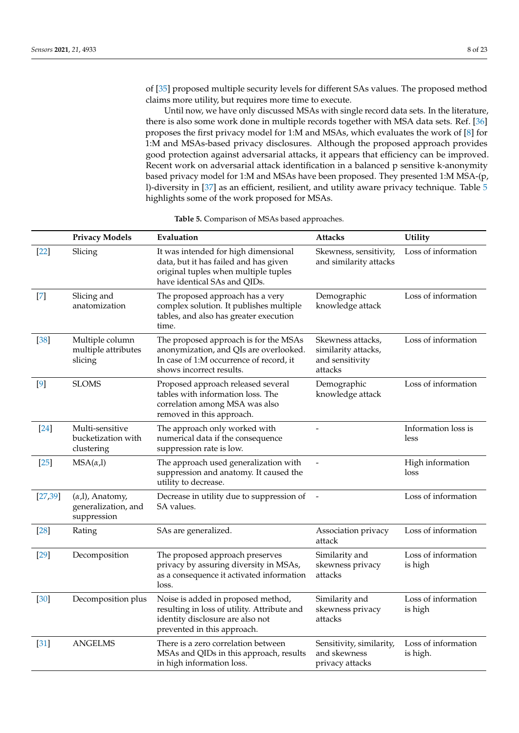of [\[35\]](#page-21-17) proposed multiple security levels for different SAs values. The proposed method claims more utility, but requires more time to execute.

Until now, we have only discussed MSAs with single record data sets. In the literature, there is also some work done in multiple records together with MSA data sets. Ref. [\[36\]](#page-21-18) proposes the first privacy model for 1:M and MSAs, which evaluates the work of [\[8\]](#page-20-7) for 1:M and MSAs-based privacy disclosures. Although the proposed approach provides good protection against adversarial attacks, it appears that efficiency can be improved. Recent work on adversarial attack identification in a balanced p sensitive k-anonymity based privacy model for 1:M and MSAs have been proposed. They presented 1:M MSA-(p, l)-diversity in [\[37\]](#page-21-19) as an efficient, resilient, and utility aware privacy technique. Table [5](#page-8-1) highlights some of the work proposed for MSAs.

|                                                                                                                                                                                                                                                        | <b>Privacy Models</b>                                          | Evaluation                                                                                                                                             | <b>Attacks</b>                                                         | Utility                         |
|--------------------------------------------------------------------------------------------------------------------------------------------------------------------------------------------------------------------------------------------------------|----------------------------------------------------------------|--------------------------------------------------------------------------------------------------------------------------------------------------------|------------------------------------------------------------------------|---------------------------------|
| $[22]$                                                                                                                                                                                                                                                 | Slicing                                                        | It was intended for high dimensional<br>data, but it has failed and has given<br>original tuples when multiple tuples<br>have identical SAs and QIDs.  | Skewness, sensitivity,<br>and similarity attacks                       | Loss of information             |
| $[7] \centering% \includegraphics[width=1\textwidth]{images/TransY.pdf} \caption{The first two different values of $d=3$ and $d=4$ (left) and $d=5$ (right) and $d=6$ (right) and $d=6$ (right) and $d=6$ (right) and $d=6$ (right).} \label{fig:USY}$ | Slicing and<br>anatomization                                   | The proposed approach has a very<br>complex solution. It publishes multiple<br>tables, and also has greater execution<br>time.                         | Demographic<br>knowledge attack                                        | Loss of information             |
| $[38]$                                                                                                                                                                                                                                                 | Multiple column<br>multiple attributes<br>slicing              | The proposed approach is for the MSAs<br>anonymization, and QIs are overlooked.<br>In case of 1:M occurrence of record, it<br>shows incorrect results. | Skewness attacks,<br>similarity attacks,<br>and sensitivity<br>attacks | Loss of information             |
| $[9]$                                                                                                                                                                                                                                                  | <b>SLOMS</b>                                                   | Proposed approach released several<br>tables with information loss. The<br>correlation among MSA was also<br>removed in this approach.                 | Demographic<br>knowledge attack                                        | Loss of information             |
| $[24]$                                                                                                                                                                                                                                                 | Multi-sensitive<br>bucketization with<br>clustering            | The approach only worked with<br>numerical data if the consequence<br>suppression rate is low.                                                         |                                                                        | Information loss is<br>less     |
| $[25]$                                                                                                                                                                                                                                                 | $MSA(\alpha,l)$                                                | The approach used generalization with<br>suppression and anatomy. It caused the<br>utility to decrease.                                                | $\overline{\phantom{0}}$                                               | High information<br>loss        |
| [27, 39]                                                                                                                                                                                                                                               | $(\alpha, l)$ , Anatomy,<br>generalization, and<br>suppression | Decrease in utility due to suppression of<br>SA values.                                                                                                |                                                                        | Loss of information             |
| $[28]$                                                                                                                                                                                                                                                 | Rating                                                         | SAs are generalized.                                                                                                                                   | Association privacy<br>attack                                          | Loss of information             |
| [29]                                                                                                                                                                                                                                                   | Decomposition                                                  | The proposed approach preserves<br>privacy by assuring diversity in MSAs,<br>as a consequence it activated information<br>loss.                        | Similarity and<br>skewness privacy<br>attacks                          | Loss of information<br>is high  |
| $[30]$                                                                                                                                                                                                                                                 | Decomposition plus                                             | Noise is added in proposed method,<br>resulting in loss of utility. Attribute and<br>identity disclosure are also not<br>prevented in this approach.   | Similarity and<br>skewness privacy<br>attacks                          | Loss of information<br>is high  |
| $[31]$                                                                                                                                                                                                                                                 | <b>ANGELMS</b>                                                 | There is a zero correlation between<br>MSAs and QIDs in this approach, results<br>in high information loss.                                            | Sensitivity, similarity,<br>and skewness<br>privacy attacks            | Loss of information<br>is high. |

**Table 5.** Comparison of MSAs based approaches.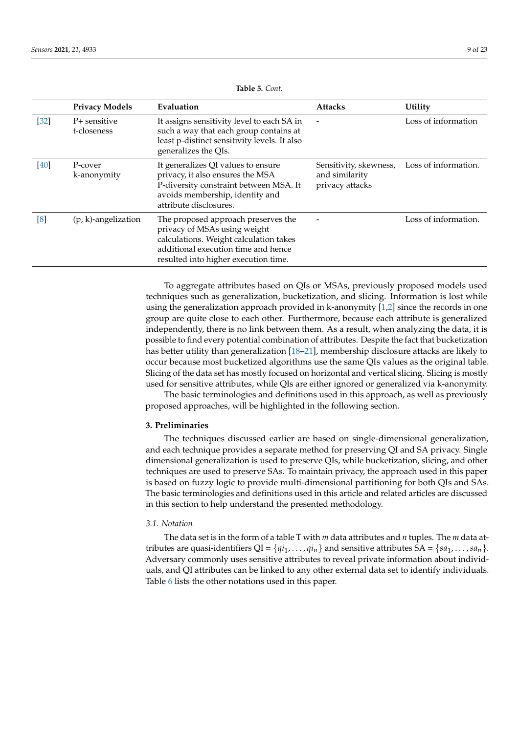<span id="page-8-1"></span>

|        | <b>Privacy Models</b>       | Evaluation                                                                                                                                                                                   | <b>Attacks</b>                                                                   | <b>Utility</b>       |
|--------|-----------------------------|----------------------------------------------------------------------------------------------------------------------------------------------------------------------------------------------|----------------------------------------------------------------------------------|----------------------|
| $[32]$ | P+ sensitive<br>t-closeness | It assigns sensitivity level to each SA in<br>such a way that each group contains at<br>least p-distinct sensitivity levels. It also<br>generalizes the QIs.                                 |                                                                                  | Loss of information  |
| $[40]$ | P-cover<br>k-anonymity      | It generalizes QI values to ensure<br>privacy, it also ensures the MSA<br>P-diversity constraint between MSA. It<br>avoids membership, identity and<br>attribute disclosures.                | Sensitivity, skewness, Loss of information.<br>and similarity<br>privacy attacks |                      |
| [8]    | $(p, k)$ -angelization      | The proposed approach preserves the<br>privacy of MSAs using weight<br>calculations. Weight calculation takes<br>additional execution time and hence<br>resulted into higher execution time. | $\overline{a}$                                                                   | Loss of information. |

**Table 5.** *Cont.*

To aggregate attributes based on QIs or MSAs, previously proposed models used techniques such as generalization, bucketization, and slicing. Information is lost while using the generalization approach provided in k-anonymity [\[1,](#page-20-0)[2\]](#page-20-2) since the records in one group are quite close to each other. Furthermore, because each attribute is generalized independently, there is no link between them. As a result, when analyzing the data, it is possible to find every potential combination of attributes. Despite the fact that bucketization has better utility than generalization [\[18](#page-21-2)[–21\]](#page-21-3), membership disclosure attacks are likely to occur because most bucketized algorithms use the same QIs values as the original table. Slicing of the data set has mostly focused on horizontal and vertical slicing. Slicing is mostly used for sensitive attributes, while QIs are either ignored or generalized via k-anonymity.

The basic terminologies and definitions used in this approach, as well as previously proposed approaches, will be highlighted in the following section.

#### <span id="page-8-0"></span>**3. Preliminaries**

The techniques discussed earlier are based on single-dimensional generalization, and each technique provides a separate method for preserving QI and SA privacy. Single dimensional generalization is used to preserve QIs, while bucketization, slicing, and other techniques are used to preserve SAs. To maintain privacy, the approach used in this paper is based on fuzzy logic to provide multi-dimensional partitioning for both QIs and SAs. The basic terminologies and definitions used in this article and related articles are discussed in this section to help understand the presented methodology.

## *3.1. Notation*

The data set is in the form of a table T with *m* data attributes and *n* tuples. The *m* data attributes are quasi-identifiers  $QI = \{qi_1, \ldots, qi_n\}$  and sensitive attributes  $SA = \{sa_1, \ldots, sa_n\}$ . Adversary commonly uses sensitive attributes to reveal private information about individuals, and QI attributes can be linked to any other external data set to identify individuals. Table [6](#page-9-0) lists the other notations used in this paper.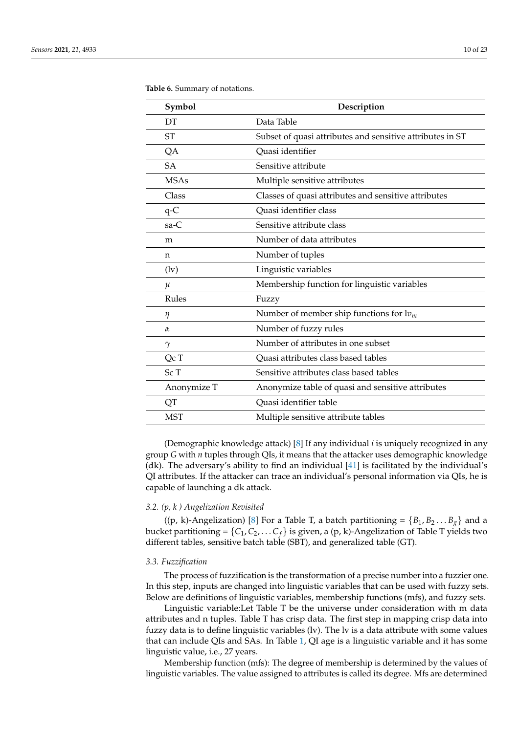| Symbol                     | Description                                               |
|----------------------------|-----------------------------------------------------------|
| DT                         | Data Table                                                |
| <b>ST</b>                  | Subset of quasi attributes and sensitive attributes in ST |
| QA                         | Quasi identifier                                          |
| <b>SA</b>                  | Sensitive attribute                                       |
| <b>MSAs</b>                | Multiple sensitive attributes                             |
| Class                      | Classes of quasi attributes and sensitive attributes      |
| $q-C$                      | Quasi identifier class                                    |
| sa-C                       | Sensitive attribute class                                 |
| m                          | Number of data attributes                                 |
| n                          | Number of tuples                                          |
| $\left(\mathrm{lv}\right)$ | Linguistic variables                                      |
| $\mu$                      | Membership function for linguistic variables              |
| Rules                      | Fuzzy                                                     |
| $\eta$                     | Number of member ship functions for $\mathit{lv}_m$       |
| $\alpha$                   | Number of fuzzy rules                                     |
| $\gamma$                   | Number of attributes in one subset                        |
| Qc T                       | Quasi attributes class based tables                       |
| Sc T                       | Sensitive attributes class based tables                   |
| Anonymize T                | Anonymize table of quasi and sensitive attributes         |
| QT                         | Quasi identifier table                                    |
| <b>MST</b>                 | Multiple sensitive attribute tables                       |

<span id="page-9-0"></span>**Table 6.** Summary of notations.

(Demographic knowledge attack) [\[8\]](#page-20-7) If any individual *i* is uniquely recognized in any group *G* with *n* tuples through QIs, it means that the attacker uses demographic knowledge (dk). The adversary's ability to find an individual [\[41\]](#page-22-1) is facilitated by the individual's QI attributes. If the attacker can trace an individual's personal information via QIs, he is capable of launching a dk attack.

#### *3.2. (p, k ) Angelization Revisited*

((p, k)-Angelization) [\[8\]](#page-20-7) For a Table T, a batch partitioning =  ${B_1, B_2 ... B_g}$  and a bucket partitioning =  $\{C_1, C_2, \ldots C_f\}$  is given, a (p, k)-Angelization of Table T yields two different tables, sensitive batch table (SBT), and generalized table (GT).

#### *3.3. Fuzzification*

The process of fuzzification is the transformation of a precise number into a fuzzier one. In this step, inputs are changed into linguistic variables that can be used with fuzzy sets. Below are definitions of linguistic variables, membership functions (mfs), and fuzzy sets.

Linguistic variable:Let Table T be the universe under consideration with m data attributes and n tuples. Table T has crisp data. The first step in mapping crisp data into fuzzy data is to define linguistic variables (lv). The lv is a data attribute with some values that can include QIs and SAs. In Table [1,](#page-1-0) QI age is a linguistic variable and it has some linguistic value, i.e., 27 years.

Membership function (mfs): The degree of membership is determined by the values of linguistic variables. The value assigned to attributes is called its degree. Mfs are determined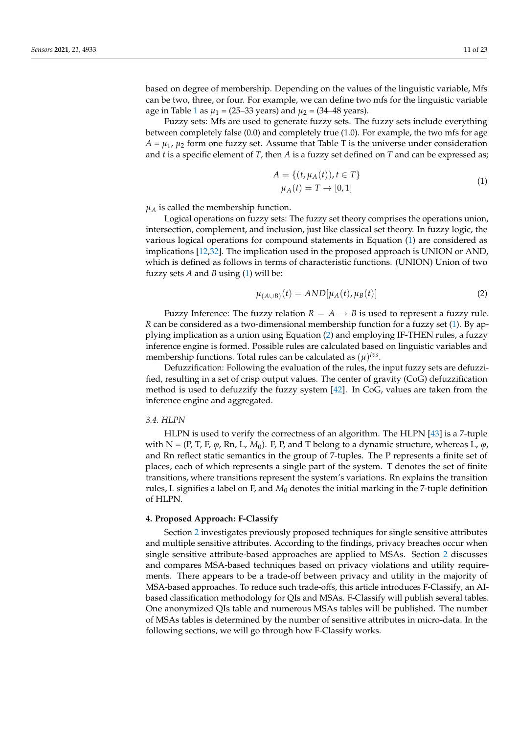based on degree of membership. Depending on the values of the linguistic variable, Mfs can be two, three, or four. For example, we can define two mfs for the linguistic variable age in Table [1](#page-1-0) as  $\mu_1$  = (25–33 years) and  $\mu_2$  = (34–48 years).

Fuzzy sets: Mfs are used to generate fuzzy sets. The fuzzy sets include everything between completely false (0.0) and completely true (1.0). For example, the two mfs for age  $A = \mu_1, \mu_2$  form one fuzzy set. Assume that Table T is the universe under consideration and *t* is a specific element of *T*, then *A* is a fuzzy set defined on *T* and can be expressed as;

<span id="page-10-1"></span>
$$
A = \{(t, \mu_A(t)), t \in T\}
$$
  

$$
\mu_A(t) = T \to [0, 1]
$$
 (1)

 $\mu_A$  is called the membership function.

Logical operations on fuzzy sets: The fuzzy set theory comprises the operations union, intersection, complement, and inclusion, just like classical set theory. In fuzzy logic, the various logical operations for compound statements in Equation [\(1\)](#page-10-1) are considered as implications [\[12](#page-20-11)[,32\]](#page-21-14). The implication used in the proposed approach is UNION or AND, which is defined as follows in terms of characteristic functions. (UNION) Union of two fuzzy sets *A* and *B* using [\(1\)](#page-10-1) will be:

<span id="page-10-2"></span>
$$
\mu_{(A\cup B)}(t) = AND[\mu_A(t), \mu_B(t)] \tag{2}
$$

Fuzzy Inference: The fuzzy relation  $R = A \rightarrow B$  is used to represent a fuzzy rule. *R* can be considered as a two-dimensional membership function for a fuzzy set [\(1\)](#page-10-1). By applying implication as a union using Equation [\(2\)](#page-10-2) and employing IF-THEN rules, a fuzzy inference engine is formed. Possible rules are calculated based on linguistic variables and membership functions. Total rules can be calculated as  $(\mu)^{lvs.}$ 

Defuzzification: Following the evaluation of the rules, the input fuzzy sets are defuzzified, resulting in a set of crisp output values. The center of gravity (CoG) defuzzification method is used to defuzzify the fuzzy system [\[42\]](#page-22-2). In CoG, values are taken from the inference engine and aggregated.

#### *3.4. HLPN*

HLPN is used to verify the correctness of an algorithm. The HLPN [\[43\]](#page-22-3) is a 7-tuple with N = (P, T, F,  $\varphi$ , Rn, L,  $M_0$ ). F, P, and T belong to a dynamic structure, whereas L,  $\varphi$ , and Rn reflect static semantics in the group of 7-tuples. The P represents a finite set of places, each of which represents a single part of the system. T denotes the set of finite transitions, where transitions represent the system's variations. Rn explains the transition rules, L signifies a label on F, and  $M_0$  denotes the initial marking in the 7-tuple definition of HLPN.

## <span id="page-10-0"></span>**4. Proposed Approach: F-Classify**

Section [2](#page-6-0) investigates previously proposed techniques for single sensitive attributes and multiple sensitive attributes. According to the findings, privacy breaches occur when single sensitive attribute-based approaches are applied to MSAs. Section [2](#page-6-0) discusses and compares MSA-based techniques based on privacy violations and utility requirements. There appears to be a trade-off between privacy and utility in the majority of MSA-based approaches. To reduce such trade-offs, this article introduces F-Classify, an AIbased classification methodology for QIs and MSAs. F-Classify will publish several tables. One anonymized QIs table and numerous MSAs tables will be published. The number of MSAs tables is determined by the number of sensitive attributes in micro-data. In the following sections, we will go through how F-Classify works.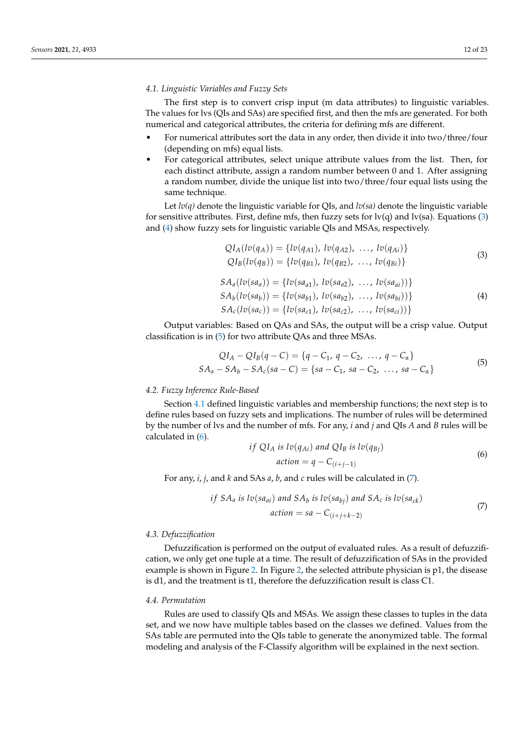## <span id="page-11-3"></span>*4.1. Linguistic Variables and Fuzzy Sets*

The first step is to convert crisp input (m data attributes) to linguistic variables. The values for lvs (QIs and SAs) are specified first, and then the mfs are generated. For both numerical and categorical attributes, the criteria for defining mfs are different.

- For numerical attributes sort the data in any order, then divide it into two/three/four (depending on mfs) equal lists.
- For categorical attributes, select unique attribute values from the list. Then, for each distinct attribute, assign a random number between 0 and 1. After assigning a random number, divide the unique list into two/three/four equal lists using the same technique.

Let *lv(q)* denote the linguistic variable for QIs, and *lv(sa)* denote the linguistic variable for sensitive attributes. First, define mfs, then fuzzy sets for  $\text{lv}(q)$  and  $\text{lv}(sa)$ . Equations [\(3\)](#page-11-0) and [\(4\)](#page-11-1) show fuzzy sets for linguistic variable QIs and MSAs, respectively.

<span id="page-11-0"></span>
$$
QI_A(lv(q_A)) = \{lv(q_{A1}), \,lv(q_{A2}), \, \ldots, \,lv(q_{Ai})\}
$$
  
\n
$$
QI_B(lv(q_B)) = \{lv(q_{B1}), \,lv(q_{B2}), \, \ldots, \,lv(q_{Bi})\}
$$
\n(3)

<span id="page-11-1"></span>
$$
SA_a(lv(sa_a)) = \{lv(sa_{a1}), \,lv(sa_{a2}), \, \ldots, \,lv(sa_{a1}))\}
$$
  
\n
$$
SA_b(lv(sa_b)) = \{lv(sa_{b1}), \,lv(sa_{b2}), \, \ldots, \,lv(sa_{b1}))\}
$$
\n(4)

$$
SA_c(lv(sa_c)) = \{lv(sa_{c1}), \,lv(sa_{c2}), \, \ldots, \,lv(sa_{ci}))\}
$$

Output variables: Based on QAs and SAs, the output will be a crisp value. Output classification is in [\(5\)](#page-11-2) for two attribute QAs and three MSAs.

<span id="page-11-2"></span>
$$
QI_A - QI_B(q - C) = \{q - C_1, q - C_2, \dots, q - C_\alpha\}
$$
  

$$
SA_a - SA_b - SA_c(sa - C) = \{sa - C_1, sa - C_2, \dots, sa - C_\alpha\}
$$
 (5)

#### *4.2. Fuzzy Inference Rule-Based*

Section [4.1](#page-11-3) defined linguistic variables and membership functions; the next step is to define rules based on fuzzy sets and implications. The number of rules will be determined by the number of lvs and the number of mfs. For any, *i* and *j* and QIs *A* and *B* rules will be calculated in [\(6\)](#page-11-4).

<span id="page-11-4"></span>if 
$$
QI_A
$$
 is  $lv(q_{Ai})$  and  $QI_B$  is  $lv(q_{Bj})$   
action =  $q - C_{(i+j-1)}$  (6)

For any, *i*, *j*, and *k* and SAs *a*, *b*, and *c* rules will be calculated in [\(7\)](#page-11-5).

<span id="page-11-5"></span>if SA<sub>a</sub> is 
$$
lv(sa_{ai})
$$
 and SA<sub>b</sub> is  $lv(sa_{bj})$  and SA<sub>c</sub> is  $lv(sa_{ck})$   
action = sa - C<sub>(i+j+k-2)</sub> (7)

#### *4.3. Defuzzification*

Defuzzification is performed on the output of evaluated rules. As a result of defuzzification, we only get one tuple at a time. The result of defuzzification of SAs in the provided example is shown in Figure [2.](#page-3-0) In Figure [2,](#page-3-0) the selected attribute physician is p1, the disease is d1, and the treatment is t1, therefore the defuzzification result is class C1.

#### *4.4. Permutation*

Rules are used to classify QIs and MSAs. We assign these classes to tuples in the data set, and we now have multiple tables based on the classes we defined. Values from the SAs table are permuted into the QIs table to generate the anonymized table. The formal modeling and analysis of the F-Classify algorithm will be explained in the next section.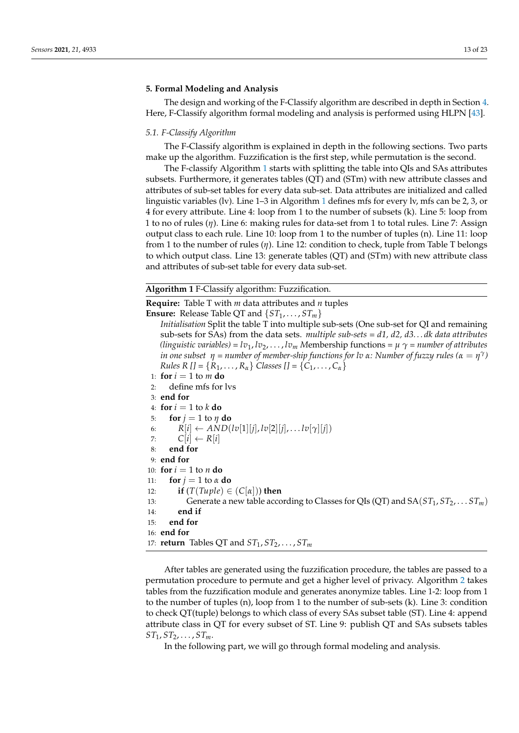## <span id="page-12-0"></span>**5. Formal Modeling and Analysis**

The design and working of the F-Classify algorithm are described in depth in Section [4.](#page-10-0) Here, F-Classify algorithm formal modeling and analysis is performed using HLPN [\[43\]](#page-22-3).

## *5.1. F-Classify Algorithm*

The F-Classify algorithm is explained in depth in the following sections. Two parts make up the algorithm. Fuzzification is the first step, while permutation is the second.

The F-classify Algorithm [1](#page-12-1) starts with splitting the table into QIs and SAs attributes subsets. Furthermore, it generates tables (QT) and (STm) with new attribute classes and attributes of sub-set tables for every data sub-set. Data attributes are initialized and called linguistic variables (lv). Line 1–3 in Algorithm [1](#page-12-1) defines mfs for every lv, mfs can be 2, 3, or 4 for every attribute. Line 4: loop from 1 to the number of subsets (k). Line 5: loop from 1 to no of rules (*η*). Line 6: making rules for data-set from 1 to total rules. Line 7: Assign output class to each rule. Line 10: loop from 1 to the number of tuples (n). Line 11: loop from 1 to the number of rules (*η*). Line 12: condition to check, tuple from Table T belongs to which output class. Line 13: generate tables (QT) and (STm) with new attribute class and attributes of sub-set table for every data sub-set.

<span id="page-12-1"></span>**Algorithm 1** F-Classify algorithm: Fuzzification.

**Require:** Table T with *m* data attributes and *n* tuples **Ensure:** Release Table QT and  $\{ST_1, \ldots, ST_m\}$ *Initialisation* Split the table T into multiple sub-sets (One sub-set for QI and remaining sub-sets for SAs) from the data sets. *multiple sub-sets = d1, d2, d3. . . dk data attributes (linguistic variables)* =  $lv_1,lv_2,...,lv_m$  *Membership functions* =  $\mu \gamma$  = *number of attributes in one subset*  $\eta$  *= number of member-ship functions for lv*  $\alpha$ *: Number of fuzzy rules (* $\alpha = \eta^{\gamma}$ *) Rules R []* = { $R_1, \ldots, R_\alpha$ } *Classes []* = { $C_1, \ldots, C_\alpha$ } 1: **for**  $i = 1$  to *m* **do** 2: define mfs for lvs 3: **end for** 4: **for**  $i = 1$  to  $k$  **do** 5: **for**  $j = 1$  to  $\eta$  **do** 6:  $R[i] \leftarrow AND(lv[1][j], lev[2][j], ...lv[\gamma][j])$ 7:  $C[i] \leftarrow R[i]$ 8: **end for** 9: **end for** 10: **for**  $i = 1$  to *n* **do** 11: **for**  $j = 1$  to  $\alpha$  **do** 12: **if**  $(T(Tuple) \in (C[\alpha]))$  then 13: Generate a new table according to Classes for QIs (QT) and  $SA(ST_1, ST_2, \ldots ST_m)$ 14: **end if** 15: **end for** 16: **end for** 17: **return** Tables QT and  $ST_1, ST_2, \ldots, ST_m$ 

After tables are generated using the fuzzification procedure, the tables are passed to a permutation procedure to permute and get a higher level of privacy. Algorithm [2](#page-13-0) takes tables from the fuzzification module and generates anonymize tables. Line 1-2: loop from 1 to the number of tuples (n), loop from 1 to the number of sub-sets (k). Line 3: condition to check QT(tuple) belongs to which class of every SAs subset table (ST). Line 4: append attribute class in QT for every subset of ST. Line 9: publish QT and SAs subsets tables  $ST_1, ST_2, \ldots, ST_m$ .

In the following part, we will go through formal modeling and analysis.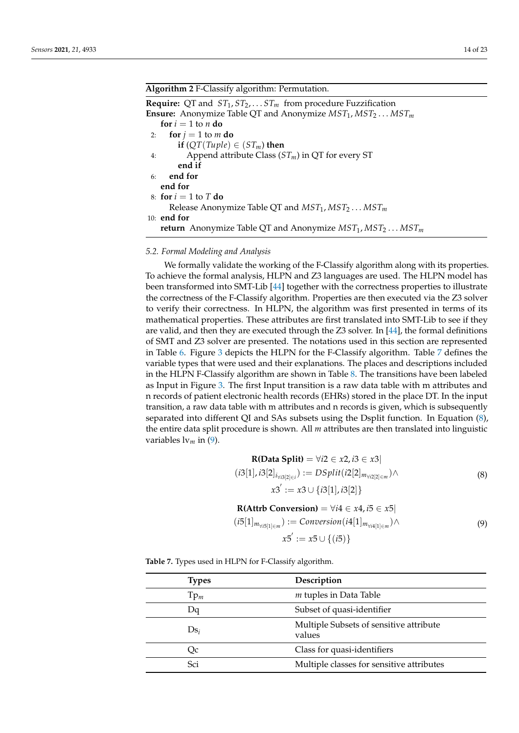# <span id="page-13-0"></span>**Algorithm 2** F-Classify algorithm: Permutation.

**Require:** QT and  $ST_1, ST_2, \ldots ST_m$  from procedure Fuzzification **Ensure:** Anonymize Table QT and Anonymize  $MST_1, MST_2...MST_m$ **for**  $i = 1$  to  $n$  **do** 2: **for**  $j = 1$  to *m* **do if**  $(QT(Tuple) \in (ST_m)$  then 4: Append attribute Class (*STm*) in QT for every ST **end if** 6: **end for end for** 8: **for**  $i = 1$  to  $T$  **do** Release Anonymize Table QT and  $MST_1, MST_2$ ...  $MST_m$ 10: **end for return** Anonymize Table QT and Anonymize  $MST_1, MST_2 \ldots MST_m$ 

## *5.2. Formal Modeling and Analysis*

We formally validate the working of the F-Classify algorithm along with its properties. To achieve the formal analysis, HLPN and Z3 languages are used. The HLPN model has been transformed into SMT-Lib [\[44\]](#page-22-4) together with the correctness properties to illustrate the correctness of the F-Classify algorithm. Properties are then executed via the Z3 solver to verify their correctness. In HLPN, the algorithm was first presented in terms of its mathematical properties. These attributes are first translated into SMT-Lib to see if they are valid, and then they are executed through the Z3 solver. In [\[44\]](#page-22-4), the formal definitions of SMT and Z3 solver are presented. The notations used in this section are represented in Table [6.](#page-9-0) Figure [3](#page-16-1) depicts the HLPN for the F-Classify algorithm. Table [7](#page-14-0) defines the variable types that were used and their explanations. The places and descriptions included in the HLPN F-Classify algorithm are shown in Table [8.](#page-14-1) The transitions have been labeled as Input in Figure [3.](#page-16-1) The first Input transition is a raw data table with m attributes and n records of patient electronic health records (EHRs) stored in the place DT. In the input transition, a raw data table with m attributes and n records is given, which is subsequently separated into different QI and SAs subsets using the Dsplit function. In Equation [\(8\)](#page-13-1), the entire data split procedure is shown. All *m* attributes are then translated into linguistic variables lv*m* in [\(9\)](#page-13-2).

<span id="page-13-2"></span><span id="page-13-1"></span>
$$
\mathbf{R}(\mathbf{Data Split}) = \forall i2 \in x2, i3 \in x3
$$
\n
$$
(i3[1], i3[2]_{i_{\forall i3[2]\in i}}) := DSplit(i2[2]_{m_{\forall i2[2]\in m}}) \land \qquad (8)
$$
\n
$$
x3' := x3 \cup \{i3[1], i3[2]\}
$$
\n
$$
\mathbf{R}(\mathbf{Attribute Conversion}) = \forall i4 \in x4, i5 \in x5
$$
\n
$$
(i5[1]_{m_{\forall i5[1]\in m}}) := \text{Consersion}(i4[1]_{m_{\forall i4[1]\in m}}) \land \qquad (9)
$$
\n
$$
x5' := x5 \cup \{(i5)\}
$$

**Table 7.** Types used in HLPN for F-Classify algorithm.

| <b>Types</b>  | Description                                       |
|---------------|---------------------------------------------------|
| $\text{Tp}_m$ | $m$ tuples in Data Table                          |
| Da            | Subset of quasi-identifier                        |
| $Ds_i$        | Multiple Subsets of sensitive attribute<br>values |
| Oс            | Class for quasi-identifiers                       |
| Sci           | Multiple classes for sensitive attributes         |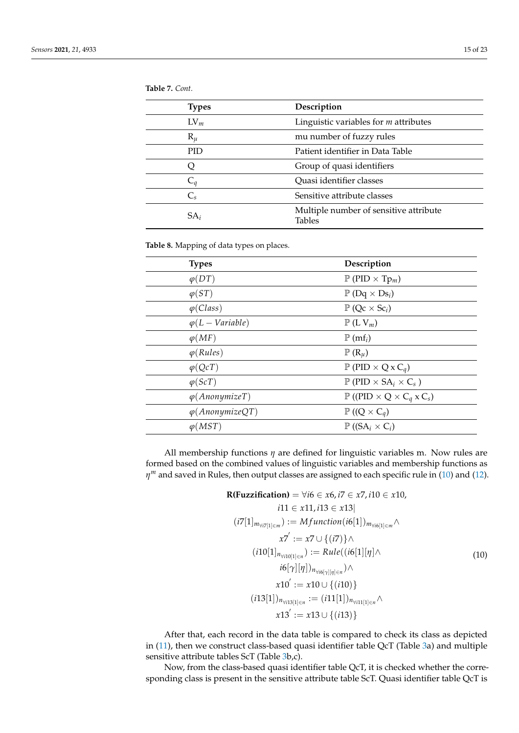<span id="page-14-0"></span>**Table 7.** *Cont.*

| <b>Types</b>    | Description                                             |
|-----------------|---------------------------------------------------------|
| $\mathrm{LV}_m$ | Linguistic variables for $m$ attributes                 |
| $R_{\mu}$       | mu number of fuzzy rules                                |
| <b>PID</b>      | Patient identifier in Data Table                        |
| Ô               | Group of quasi identifiers                              |
| $\mathrm C_q$   | Quasi identifier classes                                |
| $C_{s}$         | Sensitive attribute classes                             |
| SA,             | Multiple number of sensitive attribute<br><b>Tables</b> |

<span id="page-14-1"></span>**Table 8.** Mapping of data types on places.

| <b>Types</b>            | Description                                                   |
|-------------------------|---------------------------------------------------------------|
| $\varphi(DT)$           | $\mathbb{P}(\text{PID} \times \text{Tp}_m)$                   |
| $\varphi(ST)$           | $\mathbb{P} (\mathrm{Dq} \times \mathrm{Ds}_i)$               |
| $\varphi$ (Class)       | $\mathbb{P}$ (Qc $\times$ Sc <sub>i</sub> )                   |
| $\varphi(L-Variable)$   | $\mathbb{P}$ (L V <sub>m</sub> )                              |
| $\varphi(MF)$           | $\mathbb{P}$ (mf <sub>i</sub> )                               |
| $\varphi(Rules)$        | $\mathbb{P}(\mathsf{R}_{\mu})$                                |
| $\varphi(QcT)$          | $\mathbb{P}(\text{PID} \times \text{Q} \times \text{C}_q)$    |
| $\varphi(ScT)$          | $\mathbb{P}(\text{PID} \times \text{SA}_i \times \text{C}_s)$ |
| $\varphi$ (AnonymizeT)  | $\mathbb{P}$ ((PID × Q × C <sub>q</sub> x C <sub>s</sub> )    |
| $\varphi$ (AnonymizeQT) | $\mathbb{P}((Q \times C_q)$                                   |
| $\varphi(MST)$          | $\mathbb{P}$ ((SA <sub>i</sub> $\times$ C <sub>i</sub> )      |

All membership functions *η* are defined for linguistic variables m. Now rules are formed based on the combined values of linguistic variables and membership functions as  $η<sup>m</sup>$  and saved in Rules, then output classes are assigned to each specific rule in [\(10\)](#page-14-2) and [\(12\)](#page-15-0).

<span id="page-14-2"></span>
$$
\mathbf{R(Fuzzification)} = \forall i6 \in x6, i7 \in x7, i10 \in x10, \quad i11 \in x11, i13 \in x13 | \quad (i7[1]_{m_{\forall i7[1]\in m}}) := Mfunction(i6[1])_{m_{\forall i6[1]\in m}} \land \quad x7' := x7 \cup \{(i7)\} \land \quad (i10[1]_{n_{\forall i0[1]\in n}}) := Rule((i6[1][\eta] \land \quad (i6[\gamma][\eta])_{n_{\forall i6[\gamma][\eta]\in n}}) \land \quad x10' := x10 \cup \{(i10)\} \quad (i13[1])_{n_{\forall i13[1]\in n}} := (i11[1])_{n_{\forall i11[1]\in n}} \land \quad x13' := x13 \cup \{(i13)\}
$$

After that, each record in the data table is compared to check its class as depicted in [\(11\)](#page-15-1), then we construct class-based quasi identifier table QcT (Table [3a](#page-4-0)) and multiple sensitive attribute tables ScT (Table [3b](#page-4-0),c).

Now, from the class-based quasi identifier table QcT, it is checked whether the corresponding class is present in the sensitive attribute table ScT. Quasi identifier table QcT is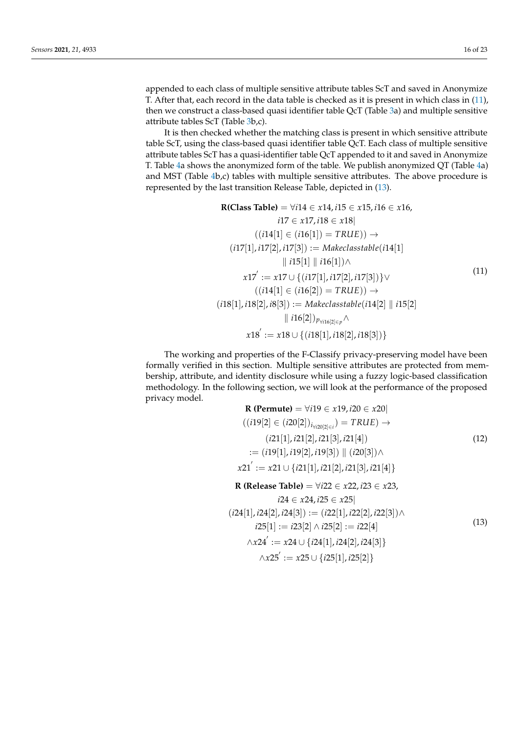appended to each class of multiple sensitive attribute tables ScT and saved in Anonymize T. After that, each record in the data table is checked as it is present in which class in [\(11\)](#page-15-1), then we construct a class-based quasi identifier table QcT (Table [3a](#page-4-0)) and multiple sensitive attribute tables ScT (Table [3b](#page-4-0),c).

It is then checked whether the matching class is present in which sensitive attribute table ScT, using the class-based quasi identifier table QcT. Each class of multiple sensitive attribute tables ScT has a quasi-identifier table QcT appended to it and saved in Anonymize T. Table [4a](#page-5-0) shows the anonymized form of the table. We publish anonymized QT (Table [4a](#page-5-0)) and MST (Table [4b](#page-5-0),c) tables with multiple sensitive attributes. The above procedure is represented by the last transition Release Table, depicted in [\(13\)](#page-15-2).

<span id="page-15-1"></span>R(Class Table) = ∀i14 ∈ x14, i15 ∈ x15, i16 ∈ x16,  
\n*i*17 ∈ x17, *i*18 ∈ x18|  
\n((*i*14[1] ∈ (*i*16[1]) = TRUE)) →  
\n(*i*17[1], *i*17[2], *i*17[3]) := Mackclasstable(*i*14[1]  
\n|| *i*15[1] || *i*16[1]) ∧  
\n
$$
x17' := x17 \cup \{ (i17[1], i17[2], i17[3]) \} \vee
$$
\n((*i*14[1] ∈ (*i*16[2]) = TRUE)) →  
\n(*i*18[1], *i*18[2], *i*8[3]) := Mackclasstable(*i*14[2] || *i*15[2]  
\n|| *i*16[2])<sub>*p*<sub>Yi16[2]∈*p*</sub> ∧  
\n
$$
x18' := x18 \cup \{ (i18[1], i18[2], i18[3]) \}
$$</sub>

The working and properties of the F-Classify privacy-preserving model have been formally verified in this section. Multiple sensitive attributes are protected from membership, attribute, and identity disclosure while using a fuzzy logic-based classification methodology. In the following section, we will look at the performance of the proposed privacy model.

<span id="page-15-2"></span><span id="page-15-0"></span>**R (Permute)** = ∀*i*19 ∈ *x*19, *i*20 ∈ *x*20| ((*i*19[2] ∈ (*i*20[2])*i*∀*i*20[2]∈*<sup>i</sup>* ) = *TRUE*) → (*i*21[1], *i*21[2], *i*21[3], *i*21[4]) := (*i*19[1], *i*19[2], *i*19[3]) k (*i*20[3])∧ *<sup>x</sup>*21<sup>0</sup> := *x*21 ∪ {*i*21[1], *i*21[2], *i*21[3], *i*21[4]} (12) **R (Release Table)** = ∀*i*22 ∈ *x*22, *i*23 ∈ *x*23, *i*24 ∈ *x*24, *i*25 ∈ *x*25| (*i*24[1], *i*24[2], *i*24[3]) := (*i*22[1], *i*22[2], *i*22[3])∧ *i*25[1] := *i*23[2] ∧ *i*25[2] := *i*22[4] ∧*x*24<sup>0</sup> := *x*24 ∪ {*i*24[1], *i*24[2], *i*24[3]} ∧*x*25<sup>0</sup> := *x*25 ∪ {*i*25[1], *i*25[2]} (13)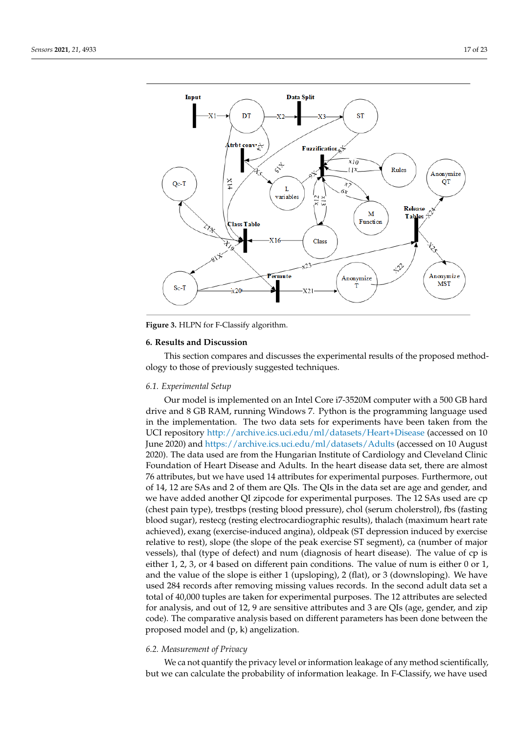<span id="page-16-1"></span>

**Figure 3.** HLPN for F-Classify algorithm.

## <span id="page-16-0"></span>**6. Results and Discussion**

This section compares and discusses the experimental results of the proposed methodology to those of previously suggested techniques.

## *6.1. Experimental Setup*

Our model is implemented on an Intel Core i7-3520M computer with a 500 GB hard drive and 8 GB RAM, running Windows 7. Python is the programming language used in the implementation. The two data sets for experiments have been taken from the UCI repository <http://archive.ics.uci.edu/ml/datasets/Heart+Disease> (accessed on 10 June 2020) and <https://archive.ics.uci.edu/ml/datasets/Adults> (accessed on 10 August 2020). The data used are from the Hungarian Institute of Cardiology and Cleveland Clinic Foundation of Heart Disease and Adults. In the heart disease data set, there are almost 76 attributes, but we have used 14 attributes for experimental purposes. Furthermore, out of 14, 12 are SAs and 2 of them are QIs. The QIs in the data set are age and gender, and we have added another QI zipcode for experimental purposes. The 12 SAs used are cp (chest pain type), trestbps (resting blood pressure), chol (serum cholerstrol), fbs (fasting blood sugar), restecg (resting electrocardiographic results), thalach (maximum heart rate achieved), exang (exercise-induced angina), oldpeak (ST depression induced by exercise relative to rest), slope (the slope of the peak exercise ST segment), ca (number of major vessels), thal (type of defect) and num (diagnosis of heart disease). The value of cp is either 1, 2, 3, or 4 based on different pain conditions. The value of num is either 0 or 1, and the value of the slope is either 1 (upsloping), 2 (flat), or 3 (downsloping). We have used 284 records after removing missing values records. In the second adult data set a total of 40,000 tuples are taken for experimental purposes. The 12 attributes are selected for analysis, and out of 12, 9 are sensitive attributes and 3 are QIs (age, gender, and zip code). The comparative analysis based on different parameters has been done between the proposed model and (p, k) angelization.

#### *6.2. Measurement of Privacy*

We ca not quantify the privacy level or information leakage of any method scientifically, but we can calculate the probability of information leakage. In F-Classify, we have used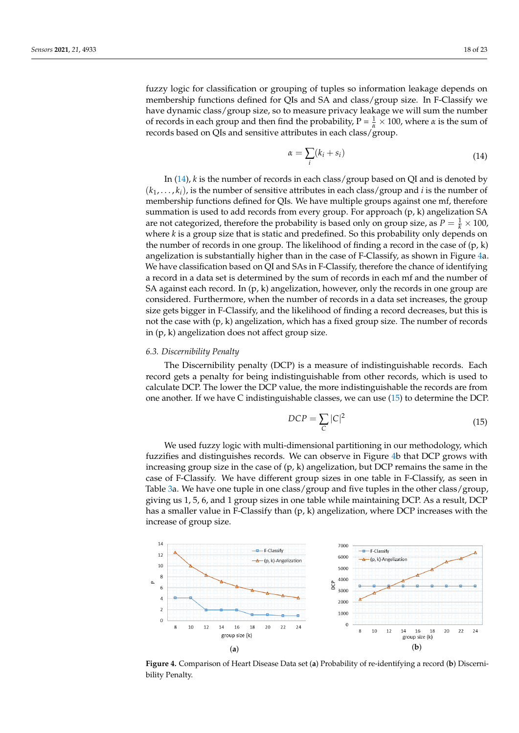fuzzy logic for classification or grouping of tuples so information leakage depends on membership functions defined for QIs and SA and class/group size. In F-Classify we have dynamic class/group size, so to measure privacy leakage we will sum the number of records in each group and then find the probability,  $P = \frac{1}{\alpha} \times 100$ , where  $\alpha$  is the sum of records based on QIs and sensitive attributes in each class/group.

<span id="page-17-0"></span>
$$
\alpha = \sum_{i} (k_i + s_i) \tag{14}
$$

In [\(14\)](#page-17-0), *k* is the number of records in each class/group based on QI and is denoted by  $(k_1, \ldots, k_i)$ , is the number of sensitive attributes in each class/group and *i* is the number of membership functions defined for QIs. We have multiple groups against one mf, therefore summation is used to add records from every group. For approach  $(p, k)$  angelization SA are not categorized, therefore the probability is based only on group size, as  $P = \frac{1}{k} \times 100$ , where *k* is a group size that is static and predefined. So this probability only depends on the number of records in one group. The likelihood of finding a record in the case of  $(p, k)$ angelization is substantially higher than in the case of F-Classify, as shown in Figure [4a](#page-17-1). We have classification based on QI and SAs in F-Classify, therefore the chance of identifying a record in a data set is determined by the sum of records in each mf and the number of SA against each record. In  $(p, k)$  angelization, however, only the records in one group are considered. Furthermore, when the number of records in a data set increases, the group size gets bigger in F-Classify, and the likelihood of finding a record decreases, but this is not the case with  $(p, k)$  angelization, which has a fixed group size. The number of records in (p, k) angelization does not affect group size.

## *6.3. Discernibility Penalty*

The Discernibility penalty (DCP) is a measure of indistinguishable records. Each record gets a penalty for being indistinguishable from other records, which is used to calculate DCP. The lower the DCP value, the more indistinguishable the records are from one another. If we have C indistinguishable classes, we can use [\(15\)](#page-17-2) to determine the DCP.

<span id="page-17-2"></span>
$$
DCP = \sum_{C} |C|^2 \tag{15}
$$

We used fuzzy logic with multi-dimensional partitioning in our methodology, which fuzzifies and distinguishes records. We can observe in Figure [4b](#page-17-1) that DCP grows with increasing group size in the case of  $(p, k)$  angelization, but DCP remains the same in the case of F-Classify. We have different group sizes in one table in F-Classify, as seen in Table [3a](#page-4-0). We have one tuple in one class/group and five tuples in the other class/group, giving us 1, 5, 6, and 1 group sizes in one table while maintaining DCP. As a result, DCP has a smaller value in F-Classify than  $(p, k)$  angelization, where DCP increases with the increase of group size.

<span id="page-17-1"></span>

**Figure 4.** Comparison of Heart Disease Data set (**a**) Probability of re-identifying a record (**b**) Discernibility Penalty.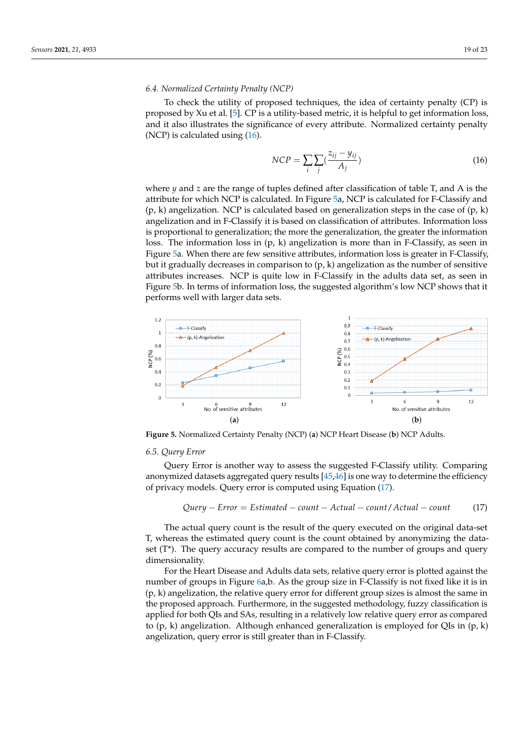## *6.4. Normalized Certainty Penalty (NCP)*

To check the utility of proposed techniques, the idea of certainty penalty (CP) is proposed by Xu et al. [\[5\]](#page-20-4). CP is a utility-based metric, it is helpful to get information loss, and it also illustrates the significance of every attribute. Normalized certainty penalty (NCP) is calculated using [\(16\)](#page-18-0).

<span id="page-18-0"></span>
$$
NCP = \sum_{i} \sum_{j} \left(\frac{z_{ij} - y_{ij}}{A_j}\right)
$$
 (16)

where  $\gamma$  and  $\gamma$  are the range of tuples defined after classification of table T, and A is the attribute for which NCP is calculated. In Figure [5a](#page-18-1), NCP is calculated for F-Classify and  $(p, k)$  angelization. NCP is calculated based on generalization steps in the case of  $(p, k)$ angelization and in F-Classify it is based on classification of attributes. Information loss is proportional to generalization; the more the generalization, the greater the information loss. The information loss in (p, k) angelization is more than in F-Classify, as seen in Figure [5a](#page-18-1). When there are few sensitive attributes, information loss is greater in F-Classify, but it gradually decreases in comparison to  $(p, k)$  angelization as the number of sensitive attributes increases. NCP is quite low in F-Classify in the adults data set, as seen in Figure [5b](#page-18-1). In terms of information loss, the suggested algorithm's low NCP shows that it performs well with larger data sets.

<span id="page-18-1"></span>

**Figure 5.** Normalized Certainty Penalty (NCP) (**a**) NCP Heart Disease (**b**) NCP Adults.

## *6.5. Query Error*

Query Error is another way to assess the suggested F-Classify utility. Comparing anonymized datasets aggregated query results [\[45,](#page-22-5)[46\]](#page-22-6) is one way to determine the efficiency of privacy models. Query error is computed using Equation [\(17\)](#page-18-2).

<span id="page-18-2"></span>
$$
Query - Error = Estimated - count - Actual - count / Actual - count \qquad (17)
$$

The actual query count is the result of the query executed on the original data-set T, whereas the estimated query count is the count obtained by anonymizing the dataset  $(T^*)$ . The query accuracy results are compared to the number of groups and query dimensionality.

For the Heart Disease and Adults data sets, relative query error is plotted against the number of groups in Figure [6a](#page-19-1),b. As the group size in F-Classify is not fixed like it is in  $(p, k)$  angelization, the relative query error for different group sizes is almost the same in the proposed approach. Furthermore, in the suggested methodology, fuzzy classification is applied for both QIs and SAs, resulting in a relatively low relative query error as compared to  $(p, k)$  angelization. Although enhanced generalization is employed for QIs in  $(p, k)$ angelization, query error is still greater than in F-Classify.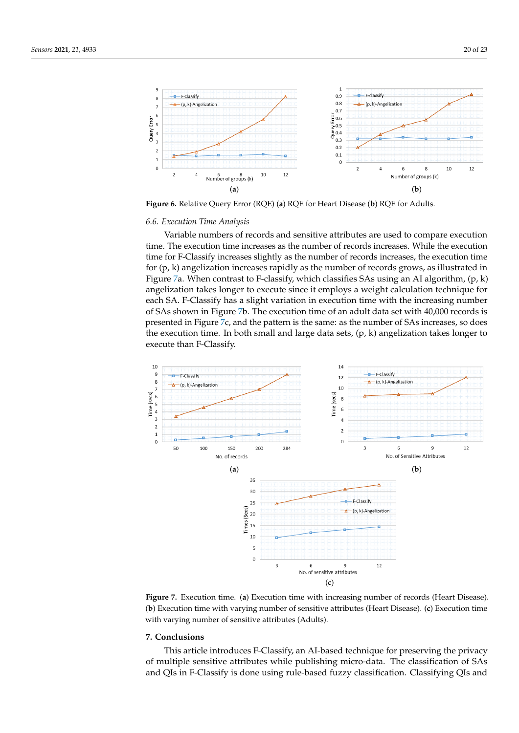<span id="page-19-1"></span>

**Figure 6.** Relative Query Error (RQE) (**a**) RQE for Heart Disease (**b**) RQE for Adults.

## *6.6. Execution Time Analysis*

Variable numbers of records and sensitive attributes are used to compare execution time. The execution time increases as the number of records increases. While the execution time for F-Classify increases slightly as the number of records increases, the execution time for (p, k) angelization increases rapidly as the number of records grows, as illustrated in Figure [7a](#page-19-2). When contrast to F-classify, which classifies SAs using an AI algorithm,  $(p, k)$ angelization takes longer to execute since it employs a weight calculation technique for each SA. F-Classify has a slight variation in execution time with the increasing number of SAs shown in Figure [7b](#page-19-2). The execution time of an adult data set with 40,000 records is presented in Figure [7c](#page-19-2), and the pattern is the same: as the number of SAs increases, so does the execution time. In both small and large data sets,  $(p, k)$  angelization takes longer to execute than F-Classify.

<span id="page-19-2"></span>

**Figure 7.** Execution time. (**a**) Execution time with increasing number of records (Heart Disease). (**b**) Execution time with varying number of sensitive attributes (Heart Disease). (**c**) Execution time with varying number of sensitive attributes (Adults).

### <span id="page-19-0"></span>**7. Conclusions**

This article introduces F-Classify, an AI-based technique for preserving the privacy of multiple sensitive attributes while publishing micro-data. The classification of SAs and QIs in F-Classify is done using rule-based fuzzy classification. Classifying QIs and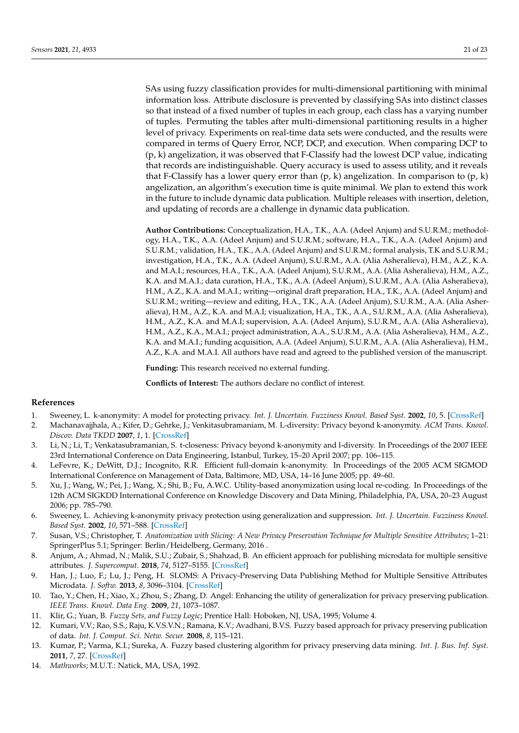SAs using fuzzy classification provides for multi-dimensional partitioning with minimal information loss. Attribute disclosure is prevented by classifying SAs into distinct classes so that instead of a fixed number of tuples in each group, each class has a varying number of tuples. Permuting the tables after multi-dimensional partitioning results in a higher level of privacy. Experiments on real-time data sets were conducted, and the results were compared in terms of Query Error, NCP, DCP, and execution. When comparing DCP to (p, k) angelization, it was observed that F-Classify had the lowest DCP value, indicating that records are indistinguishable. Query accuracy is used to assess utility, and it reveals that F-Classify has a lower query error than  $(p, k)$  angelization. In comparison to  $(p, k)$ angelization, an algorithm's execution time is quite minimal. We plan to extend this work in the future to include dynamic data publication. Multiple releases with insertion, deletion, and updating of records are a challenge in dynamic data publication.

**Author Contributions:** Conceptualization, H.A., T.K., A.A. (Adeel Anjum) and S.U.R.M.; methodology, H.A., T.K., A.A. (Adeel Anjum) and S.U.R.M.; software, H.A., T.K., A.A. (Adeel Anjum) and S.U.R.M.; validation, H.A., T.K., A.A. (Adeel Anjum) and S.U.R.M.; formal analysis, T.K and S.U.R.M.; investigation, H.A., T.K., A.A. (Adeel Anjum), S.U.R.M., A.A. (Alia Asheralieva), H.M., A.Z., K.A. and M.A.I.; resources, H.A., T.K., A.A. (Adeel Anjum), S.U.R.M., A.A. (Alia Asheralieva), H.M., A.Z., K.A. and M.A.I.; data curation, H.A., T.K., A.A. (Adeel Anjum), S.U.R.M., A.A. (Alia Asheralieva), H.M., A.Z., K.A. and M.A.I.; writing—original draft preparation, H.A., T.K., A.A. (Adeel Anjum) and S.U.R.M.; writing—review and editing, H.A., T.K., A.A. (Adeel Anjum), S.U.R.M., A.A. (Alia Asheralieva), H.M., A.Z., K.A. and M.A.I; visualization, H.A., T.K., A.A., S.U.R.M., A.A. (Alia Asheralieva), H.M., A.Z., K.A. and M.A.I; supervision, A.A. (Adeel Anjum), S.U.R.M., A.A. (Alia Asheralieva), H.M., A.Z., K.A., M.A.I.; project administration, A.A., S.U.R.M., A.A. (Alia Asheralieva), H.M., A.Z., K.A. and M.A.I.; funding acquisition, A.A. (Adeel Anjum), S.U.R.M., A.A. (Alia Asheralieva), H.M., A.Z., K.A. and M.A.I. All authors have read and agreed to the published version of the manuscript.

**Funding:** This research received no external funding.

**Conflicts of Interest:** The authors declare no conflict of interest.

#### **References**

- <span id="page-20-0"></span>1. Sweeney, L. k-anonymity: A model for protecting privacy. *Int. J. Uncertain. Fuzziness Knowl. Based Syst.* **2002**, *10*, 5. [\[CrossRef\]](http://doi.org/10.1142/S0218488502001648)
- <span id="page-20-2"></span>2. Machanavajjhala, A.; Kifer, D.; Gehrke, J.; Venkitasubramaniam, M. L-diversity: Privacy beyond k-anonymity. *ACM Trans. Knowl. Discov. Data TKDD* **2007**, *1*, 1. [\[CrossRef\]](http://dx.doi.org/10.1145/1217299.1217302)
- <span id="page-20-1"></span>3. Li, N.; Li, T.; Venkatasubramanian, S. t-closeness: Privacy beyond k-anonymity and l-diversity. In Proceedings of the 2007 IEEE 23rd International Conference on Data Engineering, Istanbul, Turkey, 15–20 April 2007; pp. 106–115.
- <span id="page-20-3"></span>4. LeFevre, K.; DeWitt, D.J.; Incognito, R.R. Efficient full-domain k-anonymity. In Proceedings of the 2005 ACM SIGMOD International Conference on Management of Data, Baltimore, MD, USA, 14–16 June 2005; pp. 49–60.
- <span id="page-20-4"></span>5. Xu, J.; Wang, W.; Pei, J.; Wang, X.; Shi, B.; Fu, A.W.C. Utility-based anonymization using local re-coding. In Proceedings of the 12th ACM SIGKDD International Conference on Knowledge Discovery and Data Mining, Philadelphia, PA, USA, 20–23 August 2006; pp. 785–790.
- <span id="page-20-5"></span>6. Sweeney, L. Achieving k-anonymity privacy protection using generalization and suppression. *Int. J. Uncertain. Fuzziness Knowl. Based Syst.* **2002**, *10*, 571–588. [\[CrossRef\]](http://dx.doi.org/10.1142/S021848850200165X)
- <span id="page-20-6"></span>7. Susan, V.S.; Christopher, T. *Anatomization with Slicing: A New Privacy Preservation Technique for Multiple Sensitive Attributes*; 1–21: SpringerPlus 5.1; Springer: Berlin/Heidelberg, Germany, 2016 .
- <span id="page-20-7"></span>8. Anjum, A.; Ahmad, N.; Malik, S.U.; Zubair, S.; Shahzad, B. An efficient approach for publishing microdata for multiple sensitive attributes. *J. Supercomput.* **2018**, *74*, 5127–5155. [\[CrossRef\]](http://dx.doi.org/10.1007/s11227-018-2390-x)
- <span id="page-20-8"></span>9. Han, J.; Luo, F.; Lu, J.; Peng, H. SLOMS: A Privacy-Preserving Data Publishing Method for Multiple Sensitive Attributes Microdata. *J. Softw.* **2013**, *8*, 3096–3104. [\[CrossRef\]](http://dx.doi.org/10.4304/jsw.8.12.3096-3104)
- <span id="page-20-9"></span>10. Tao, Y.; Chen, H.; Xiao, X.; Zhou, S.; Zhang, D. Angel: Enhancing the utility of generalization for privacy preserving publication. *IEEE Trans. Knowl. Data Eng.* **2009**, *21*, 1073–1087.
- <span id="page-20-10"></span>11. Klir, G.; Yuan, B. *Fuzzy Sets, and Fuzzy Logic*; Prentice Hall: Hoboken, NJ, USA, 1995; Volume 4.
- <span id="page-20-11"></span>12. Kumari, V.V.; Rao, S.S.; Raju, K.V.S.V.N.; Ramana, K.V.; Avadhani, B.V.S. Fuzzy based approach for privacy preserving publication of data. *Int. J. Comput. Sci. Netw. Secur.* **2008**, *8*, 115–121.
- <span id="page-20-12"></span>13. Kumar, P.; Varma, K.I.; Sureka, A. Fuzzy based clustering algorithm for privacy preserving data mining. *Int. J. Bus. Inf. Syst.* **2011**, *7*, 27. [\[CrossRef\]](http://dx.doi.org/10.1504/IJBIS.2011.037295)
- <span id="page-20-13"></span>14. *Mathworks*; M.U.T.: Natick, MA, USA, 1992.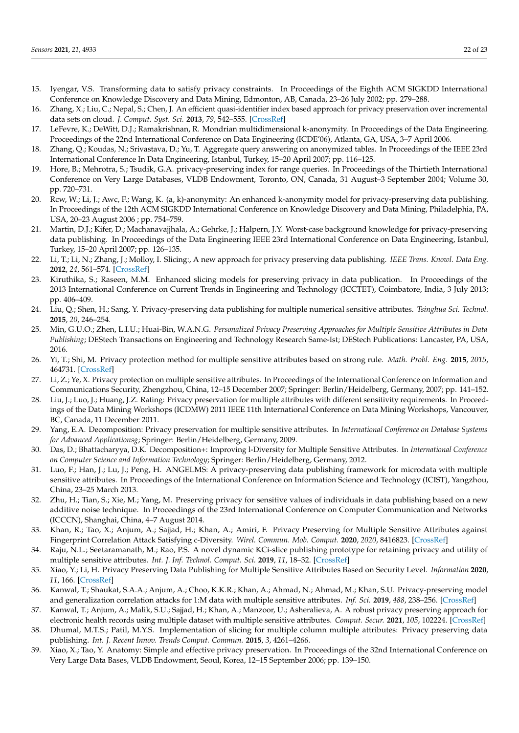- <span id="page-21-0"></span>15. Iyengar, V.S. Transforming data to satisfy privacy constraints. In Proceedings of the Eighth ACM SIGKDD International Conference on Knowledge Discovery and Data Mining, Edmonton, AB, Canada, 23–26 July 2002; pp. 279–288.
- 16. Zhang, X.; Liu, C.; Nepal, S.; Chen, J. An efficient quasi-identifier index based approach for privacy preservation over incremental data sets on cloud. *J. Comput. Syst. Sci.* **2013**, *79*, 542–555. [\[CrossRef\]](http://dx.doi.org/10.1016/j.jcss.2012.11.008)
- <span id="page-21-1"></span>17. LeFevre, K.; DeWitt, D.J.; Ramakrishnan, R. Mondrian multidimensional k-anonymity. In Proceedings of the Data Engineering. Proceedings of the 22nd International Conference on Data Engineering (ICDE'06), Atlanta, GA, USA, 3–7 April 2006.
- <span id="page-21-2"></span>18. Zhang, Q.; Koudas, N.; Srivastava, D.; Yu, T. Aggregate query answering on anonymized tables. In Proceedings of the IEEE 23rd International Conference In Data Engineering, Istanbul, Turkey, 15–20 April 2007; pp. 116–125.
- 19. Hore, B.; Mehrotra, S.; Tsudik, G.A. privacy-preserving index for range queries. In Proceedings of the Thirtieth International Conference on Very Large Databases, VLDB Endowment, Toronto, ON, Canada, 31 August–3 September 2004; Volume 30, pp. 720–731.
- 20. Rcw, W.; Li, J.; Awc, F.; Wang, K. (a, k)-anonymity: An enhanced k-anonymity model for privacy-preserving data publishing. In Proceedings of the 12th ACM SIGKDD International Conference on Knowledge Discovery and Data Mining, Philadelphia, PA, USA, 20–23 August 2006 ; pp. 754–759.
- <span id="page-21-3"></span>21. Martin, D.J.; Kifer, D.; Machanavajjhala, A.; Gehrke, J.; Halpern, J.Y. Worst-case background knowledge for privacy-preserving data publishing. In Proceedings of the Data Engineering IEEE 23rd International Conference on Data Engineering, Istanbul, Turkey, 15–20 April 2007; pp. 126–135.
- <span id="page-21-4"></span>22. Li, T.; Li, N.; Zhang, J.; Molloy, I. Slicing:, A new approach for privacy preserving data publishing. *IEEE Trans. Knowl. Data Eng.* **2012**, *24*, 561–574. [\[CrossRef\]](http://dx.doi.org/10.1109/TKDE.2010.236)
- <span id="page-21-5"></span>23. Kiruthika, S.; Raseen, M.M. Enhanced slicing models for preserving privacy in data publication. In Proceedings of the 2013 International Conference on Current Trends in Engineering and Technology (ICCTET), Coimbatore, India, 3 July 2013; pp. 406–409.
- <span id="page-21-6"></span>24. Liu, Q.; Shen, H.; Sang, Y. Privacy-preserving data publishing for multiple numerical sensitive attributes. *Tsinghua Sci. Technol.* **2015**, *20*, 246–254.
- <span id="page-21-7"></span>25. Min, G.U.O.; Zhen, L.I.U.; Huai-Bin, W.A.N.G. *Personalized Privacy Preserving Approaches for Multiple Sensitive Attributes in Data Publishing*; DEStech Transactions on Engineering and Technology Research Same-Ist; DEStech Publications: Lancaster, PA, USA, 2016.
- <span id="page-21-8"></span>26. Yi, T.; Shi, M. Privacy protection method for multiple sensitive attributes based on strong rule. *Math. Probl. Eng.* **2015**, *2015*, 464731. [\[CrossRef\]](http://dx.doi.org/10.1155/2015/464731)
- <span id="page-21-9"></span>27. Li, Z.; Ye, X. Privacy protection on multiple sensitive attributes. In Proceedings of the International Conference on Information and Communications Security, Zhengzhou, China, 12–15 December 2007; Springer: Berlin/Heidelberg, Germany, 2007; pp. 141–152.
- <span id="page-21-10"></span>28. Liu, J.; Luo, J.; Huang, J.Z. Rating: Privacy preservation for multiple attributes with different sensitivity requirements. In Proceedings of the Data Mining Workshops (ICDMW) 2011 IEEE 11th International Conference on Data Mining Workshops, Vancouver, BC, Canada, 11 December 2011.
- <span id="page-21-11"></span>29. Yang, E.A. Decomposition: Privacy preservation for multiple sensitive attributes. In *International Conference on Database Systems for Advanced Applicationsg*; Springer: Berlin/Heidelberg, Germany, 2009.
- <span id="page-21-12"></span>30. Das, D.; Bhattacharyya, D.K. Decomposition+: Improving l-Diversity for Multiple Sensitive Attributes. In *International Conference on Computer Science and Information Technology*; Springer: Berlin/Heidelberg, Germany, 2012.
- <span id="page-21-13"></span>31. Luo, F.; Han, J.; Lu, J.; Peng, H. ANGELMS: A privacy-preserving data publishing framework for microdata with multiple sensitive attributes. In Proceedings of the International Conference on Information Science and Technology (ICIST), Yangzhou, China, 23–25 March 2013.
- <span id="page-21-14"></span>32. Zhu, H.; Tian, S.; Xie, M.; Yang, M. Preserving privacy for sensitive values of individuals in data publishing based on a new additive noise technique. In Proceedings of the 23rd International Conference on Computer Communication and Networks (ICCCN), Shanghai, China, 4–7 August 2014.
- <span id="page-21-15"></span>33. Khan, R.; Tao, X.; Anjum, A.; Sajjad, H.; Khan, A.; Amiri, F. Privacy Preserving for Multiple Sensitive Attributes against Fingerprint Correlation Attack Satisfying c-Diversity. *Wirel. Commun. Mob. Comput.* **2020**, *2020*, 8416823. [\[CrossRef\]](http://dx.doi.org/10.1155/2020/8416823)
- <span id="page-21-16"></span>34. Raju, N.L.; Seetaramanath, M.; Rao, P.S. A novel dynamic KCi-slice publishing prototype for retaining privacy and utility of multiple sensitive attributes. *Int. J. Inf. Technol. Comput. Sci.* **2019**, *11*, 18–32. [\[CrossRef\]](http://dx.doi.org/10.5815/ijitcs.2019.04.03)
- <span id="page-21-17"></span>35. Xiao, Y.; Li, H. Privacy Preserving Data Publishing for Multiple Sensitive Attributes Based on Security Level. *Information* **2020**, *11*, 166. [\[CrossRef\]](http://dx.doi.org/10.3390/info11030166)
- <span id="page-21-18"></span>36. Kanwal, T.; Shaukat, S.A.A.; Anjum, A.; Choo, K.K.R.; Khan, A.; Ahmad, N.; Ahmad, M.; Khan, S.U. Privacy-preserving model and generalization correlation attacks for 1:M data with multiple sensitive attributes. *Inf. Sci.* **2019**, *488*, 238–256. [\[CrossRef\]](http://dx.doi.org/10.1016/j.ins.2019.03.004)
- <span id="page-21-19"></span>37. Kanwal, T.; Anjum, A.; Malik, S.U.; Sajjad, H.; Khan, A.; Manzoor, U.; Asheralieva, A. A robust privacy preserving approach for electronic health records using multiple dataset with multiple sensitive attributes. *Comput. Secur.* **2021**, *105*, 102224. [\[CrossRef\]](http://dx.doi.org/10.1016/j.cose.2021.102224)
- <span id="page-21-20"></span>38. Dhumal, M.T.S.; Patil, M.Y.S. Implementation of slicing for multiple column multiple attributes: Privacy preserving data publishing. *Int. J. Recent Innov. Trends Comput. Commun.* **2015**, *3*, 4261–4266.
- <span id="page-21-21"></span>39. Xiao, X.; Tao, Y. Anatomy: Simple and effective privacy preservation. In Proceedings of the 32nd International Conference on Very Large Data Bases, VLDB Endowment, Seoul, Korea, 12–15 September 2006; pp. 139–150.